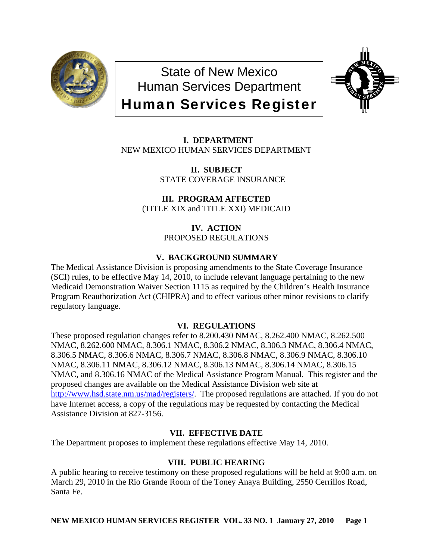

State of New Mexico Human Services Department Human Services Register



 **I. DEPARTMENT** NEW MEXICO HUMAN SERVICES DEPARTMENT

> **II. SUBJECT** STATE COVERAGE INSURANCE

**III. PROGRAM AFFECTED** (TITLE XIX and TITLE XXI) MEDICAID

> **IV. ACTION** PROPOSED REGULATIONS

# **V. BACKGROUND SUMMARY**

The Medical Assistance Division is proposing amendments to the State Coverage Insurance (SCI) rules, to be effective May 14, 2010, to include relevant language pertaining to the new Medicaid Demonstration Waiver Section 1115 as required by the Children's Health Insurance Program Reauthorization Act (CHIPRA) and to effect various other minor revisions to clarify regulatory language.

# **VI. REGULATIONS**

These proposed regulation changes refer to 8.200.430 NMAC, 8.262.400 NMAC, 8.262.500 NMAC, 8.262.600 NMAC, 8.306.1 NMAC, 8.306.2 NMAC, 8.306.3 NMAC, 8.306.4 NMAC, 8.306.5 NMAC, 8.306.6 NMAC, 8.306.7 NMAC, 8.306.8 NMAC, 8.306.9 NMAC, 8.306.10 NMAC, 8.306.11 NMAC, 8.306.12 NMAC, 8.306.13 NMAC, 8.306.14 NMAC, 8.306.15 NMAC, and 8.306.16 NMAC of the Medical Assistance Program Manual. This register and the proposed changes are available on the Medical Assistance Division web site at [http://www.hsd.state.nm.us/mad/registers/.](http://www.hsd.state.nm.us/mad/registers/) The proposed regulations are attached. If you do not have Internet access, a copy of the regulations may be requested by contacting the Medical Assistance Division at 827-3156.

# **VII. EFFECTIVE DATE**

The Department proposes to implement these regulations effective May 14, 2010.

# **VIII. PUBLIC HEARING**

A public hearing to receive testimony on these proposed regulations will be held at 9:00 a.m. on March 29, 2010 in the Rio Grande Room of the Toney Anaya Building, 2550 Cerrillos Road, Santa Fe.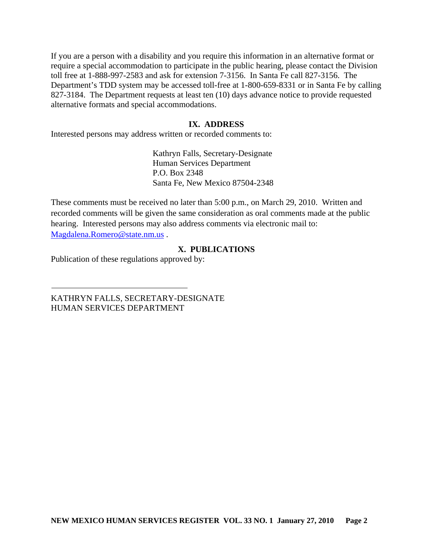If you are a person with a disability and you require this information in an alternative format or require a special accommodation to participate in the public hearing, please contact the Division toll free at 1-888-997-2583 and ask for extension 7-3156. In Santa Fe call 827-3156. The Department's TDD system may be accessed toll-free at 1-800-659-8331 or in Santa Fe by calling 827-3184. The Department requests at least ten (10) days advance notice to provide requested alternative formats and special accommodations.

# **IX. ADDRESS**

Interested persons may address written or recorded comments to:

Kathryn Falls, Secretary-Designate Human Services Department P.O. Box 2348 Santa Fe, New Mexico 87504-2348

These comments must be received no later than 5:00 p.m., on March 29, 2010. Written and recorded comments will be given the same consideration as oral comments made at the public hearing. Interested persons may also address comments via electronic mail to: [Magdalena.Romero@state.nm.us](mailto:Magdalena.Romero@state.nm.us) .

# **X. PUBLICATIONS**

Publication of these regulations approved by:

KATHRYN FALLS, SECRETARY-DESIGNATE HUMAN SERVICES DEPARTMENT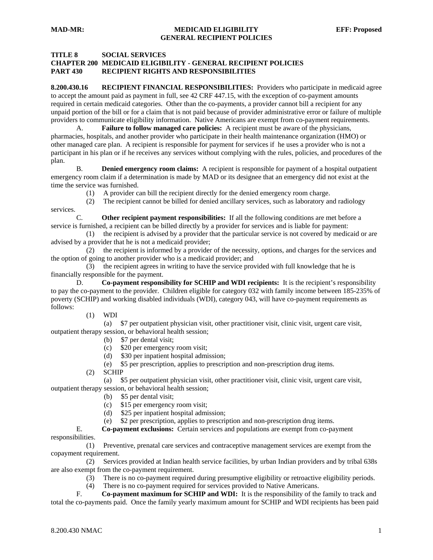#### **TITLE 8 SOCIAL SERVICES**

# **CHAPTER 200 MEDICAID ELIGIBILITY - GENERAL RECIPIENT POLICIES PART 430 RECIPIENT RIGHTS AND RESPONSIBILITIES**

**8.200.430.16 RECIPIENT FINANCIAL RESPONSIBILITIES:** Providers who participate in medicaid agree to accept the amount paid as payment in full, see 42 CRF 447.15, with the exception of co-payment amounts required in certain medicaid categories. Other than the co-payments, a provider cannot bill a recipient for any unpaid portion of the bill or for a claim that is not paid because of provider administrative error or failure of multiple providers to communicate eligibility information. Native Americans are exempt from co-payment requirements.

A. **Failure to follow managed care policies:** A recipient must be aware of the physicians, pharmacies, hospitals, and another provider who participate in their health maintenance organization (HMO) or other managed care plan. A recipient is responsible for payment for services if he uses a provider who is not a participant in his plan or if he receives any services without complying with the rules, policies, and procedures of the plan.

 B. **Denied emergency room claims:** A recipient is responsible for payment of a hospital outpatient emergency room claim if a determination is made by MAD or its designee that an emergency did not exist at the time the service was furnished.

(1) A provider can bill the recipient directly for the denied emergency room charge.

(2) The recipient cannot be billed for denied ancillary services, such as laboratory and radiology

services.

 C. **Other recipient payment responsibilities:** If all the following conditions are met before a service is furnished, a recipient can be billed directly by a provider for services and is liable for payment:

 (1) the recipient is advised by a provider that the particular service is not covered by medicaid or are advised by a provider that he is not a medicaid provider;

 (2) the recipient is informed by a provider of the necessity, options, and charges for the services and the option of going to another provider who is a medicaid provider; and

 (3) the recipient agrees in writing to have the service provided with full knowledge that he is financially responsible for the payment.

 D. **Co-payment responsibility for SCHIP and WDI recipients:** It is the recipient's responsibility to pay the co-payment to the provider. Children eligible for category 032 with family income between 185-235% of poverty (SCHIP) and working disabled individuals (WDI), category 043, will have co-payment requirements as follows:

(1) WDI

 (a) \$7 per outpatient physician visit, other practitioner visit, clinic visit, urgent care visit, outpatient therapy session, or behavioral health session;

- (b) \$7 per dental visit;
- (c) \$20 per emergency room visit;
- (d) \$30 per inpatient hospital admission;

(e) \$5 per prescription, applies to prescription and non-prescription drug items.

(2) SCHIP

 (a) \$5 per outpatient physician visit, other practitioner visit, clinic visit, urgent care visit, outpatient therapy session, or behavioral health session;

- (b) \$5 per dental visit;
- (c) \$15 per emergency room visit;
- (d) \$25 per inpatient hospital admission;
- (e) \$2 per prescription, applies to prescription and non-prescription drug items.

 E. **Co-payment exclusions:** Certain services and populations are exempt from co-payment responsibilities.

 (1) Preventive, prenatal care services and contraceptive management services are exempt from the copayment requirement.

 (2) Services provided at Indian health service facilities, by urban Indian providers and by tribal 638s are also exempt from the co-payment requirement.

- (3) There is no co-payment required during presumptive eligibility or retroactive eligibility periods.
- (4) There is no co-payment required for services provided to Native Americans.<br>  $F_a$  Co-payment maximum for SCHIP and WDI: It is the responsibility of the

 F. **Co-payment maximum for SCHIP and WDI:** It is the responsibility of the family to track and total the co-payments paid. Once the family yearly maximum amount for SCHIP and WDI recipients has been paid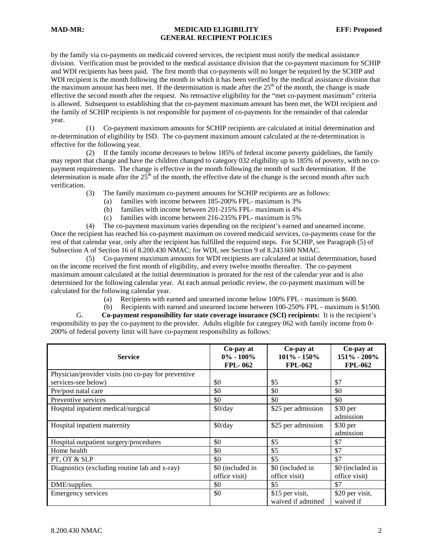# **MAD-MR: MEDICAID ELIGIBILITY EFF: Proposed GENERAL RECIPIENT POLICIES**

by the family via co-payments on medicaid covered services, the recipient must notify the medical assistance division. Verification must be provided to the medical assistance division that the co-payment maximum for SCHIP and WDI recipients has been paid. The first month that co-payments will no longer be required by the SCHIP and WDI recipient is the month following the month in which it has been verified by the medical assistance division that the maximum amount has been met. If the determination is made after the  $25<sup>th</sup>$  of the month, the change is made effective the second month after the request. No retroactive eligibility for the "met co-payment maximum" criteria is allowed. Subsequent to establishing that the co-payment maximum amount has been met, the WDI recipient and the family of SCHIP recipients is not responsible for payment of co-payments for the remainder of that calendar year.

 (1) Co-payment maximum amounts for SCHIP recipients are calculated at initial determination and re-determination of eligibility by ISD. The co-payment maximum amount calculated at the re-determination is effective for the following year.

 (2) If the family income decreases to below 185% of federal income poverty guidelines, the family may report that change and have the children changed to category 032 eligibility up to 185% of poverty, with no copayment requirements. The change is effective in the month following the month of such determination. If the determination is made after the  $25<sup>th</sup>$  of the month, the effective date of the change is the second month after such verification.

(3) The family maximum co-payment amounts for SCHIP recipients are as follows:

- (a) families with income between 185-200% FPL- maximum is 3%
- (b) families with income between 201-215% FPL- maximum is 4%
- (c) families with income between 216-235% FPL- maximum is 5%

 (4) The co-payment maximum varies depending on the recipient's earned and unearned income. Once the recipient has reached his co-payment maximum on covered medicaid services, co-payments cease for the rest of that calendar year, only after the recipient has fulfilled the required steps. For SCHIP, see Paragraph (5) of Subsection A of Section 16 of 8.200.430 NMAC; for WDI, see Section 9 of 8.243.600 NMAC.

 (5) Co-payment maximum amounts for WDI recipients are calculated at initial determination, based on the income received the first month of eligibility, and every twelve months thereafter. The co-payment maximum amount calculated at the initial determination is prorated for the rest of the calendar year and is also determined for the following calendar year. At each annual periodic review, the co-payment maximum will be calculated for the following calendar year.

(a) Recipients with earned and unearned income below 100% FPL - maximum is \$600.

(b) Recipients with earned and unearned income between 100-250% FPL - maximum is \$1500.

 G. **Co-payment responsibility for state coverage insurance (SCI) recipients:** It is the recipient's responsibility to pay the co-payment to the provider. Adults eligible for category 062 with family income from 0- 200% of federal poverty limit will have co-payment responsibility as follows:

| <b>Service</b>                                      | Co-pay at<br>$0\% - 100\%$<br><b>FPL-062</b> | Co-pay at<br>$101\% - 150\%$<br><b>FPL-062</b> | Co-pay at<br>151% - 200%<br><b>FPL-062</b> |
|-----------------------------------------------------|----------------------------------------------|------------------------------------------------|--------------------------------------------|
| Physician/provider visits (no co-pay for preventive |                                              |                                                |                                            |
| services-see below)                                 | \$0                                          | \$5                                            | \$7                                        |
| Pre/post natal care                                 | \$0                                          | \$0                                            | \$0                                        |
| Preventive services                                 | \$0                                          | \$0                                            | \$0                                        |
| Hospital inpatient medical/surgical                 | $$0$ /day                                    | \$25 per admission                             | \$30 per                                   |
|                                                     |                                              |                                                | admission                                  |
| Hospital inpatient maternity                        | $$0$ /day                                    | \$25 per admission                             | $$30$ per                                  |
|                                                     |                                              |                                                | admission                                  |
| Hospital outpatient surgery/procedures              | \$0                                          | \$5                                            | \$7                                        |
| Home health                                         | \$0                                          | \$5                                            | \$7                                        |
| PT, OT & SLP                                        | \$0                                          | \$5                                            | \$7                                        |
| Diagnostics (excluding routine lab and x-ray)       | \$0 (included in                             | \$0 (included in                               | \$0 (included in                           |
|                                                     | office visit)                                | office visit)                                  | office visit)                              |
| DME/supplies                                        | \$0                                          | \$5                                            | \$7                                        |
| Emergency services                                  | \$0                                          | \$15 per visit,                                | \$20 per visit,                            |
|                                                     |                                              | waived if admitted                             | waived if                                  |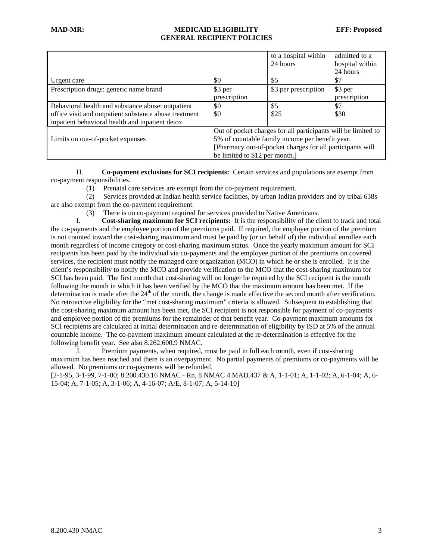# **MAD-MR: MEDICAID ELIGIBILITY EFF: Proposed GENERAL RECIPIENT POLICIES**

|                                                       |                                                               | to a hospital within<br>24 hours | admitted to a<br>hospital within |
|-------------------------------------------------------|---------------------------------------------------------------|----------------------------------|----------------------------------|
|                                                       |                                                               |                                  | 24 hours                         |
| Urgent care                                           | \$0                                                           | \$5                              | \$7                              |
| Prescription drugs: generic name brand                | \$3 per                                                       | \$3 per prescription             | \$3 per                          |
|                                                       | prescription                                                  |                                  | prescription                     |
| Behavioral health and substance abuse: outpatient     | \$0                                                           | \$5                              | \$7                              |
| office visit and outpatient substance abuse treatment | \$0                                                           | \$25                             | \$30                             |
| inpatient behavioral health and inpatient detox       |                                                               |                                  |                                  |
|                                                       | Out of pocket charges for all participants will be limited to |                                  |                                  |
| Limits on out-of-pocket expenses                      | 5% of countable family income per benefit year.               |                                  |                                  |
|                                                       | [Pharmacy out of pocket charges for all participants will     |                                  |                                  |
|                                                       | be limited to \$12 per month.                                 |                                  |                                  |

 H. **Co-payment exclusions for SCI recipients:** Certain services and populations are exempt from co-payment responsibilities.

(1) Prenatal care services are exempt from the co-payment requirement.

 (2) Services provided at Indian health service facilities, by urban Indian providers and by tribal 638s are also exempt from the co-payment requirement.

(3) There is no co-payment required for services provided to Native Americans.

 I. **Cost-sharing maximum for SCI recipients:** It is the responsibility of the client to track and total the co-payments and the employee portion of the premiums paid. If required, the employer portion of the premium is not counted toward the cost-sharing maximum and must be paid by (or on behalf of) the individual enrollee each month regardless of income category or cost-sharing maximum status. Once the yearly maximum amount for SCI recipients has been paid by the individual via co-payments and the employee portion of the premiums on covered services, the recipient must notify the managed care organization (MCO) in which he or she is enrolled. It is the client's responsibility to notify the MCO and provide verification to the MCO that the cost-sharing maximum for SCI has been paid. The first month that cost-sharing will no longer be required by the SCI recipient is the month following the month in which it has been verified by the MCO that the maximum amount has been met. If the determination is made after the  $24<sup>th</sup>$  of the month, the change is made effective the second month after verification. No retroactive eligibility for the "met cost-sharing maximum" criteria is allowed. Subsequent to establishing that the cost-sharing maximum amount has been met, the SCI recipient is not responsible for payment of co-payments and employee portion of the premiums for the remainder of that benefit year. Co-payment maximum amounts for SCI recipients are calculated at initial determination and re-determination of eligibility by ISD at 5% of the annual countable income. The co-payment maximum amount calculated at the re-determination is effective for the following benefit year. See also 8.262.600.9 NMAC.

 J. Premium payments, when required, must be paid in full each month, even if cost-sharing maximum has been reached and there is an overpayment. No partial payments of premiums or co-payments will be allowed. No premiums or co-payments will be refunded.

[2-1-95, 3-1-99, 7-1-00; 8.200.430.16 NMAC - Rn, 8 NMAC 4.MAD.437 & A, 1-1-01; A, 1-1-02; A, 6-1-04; A, 6- 15-04; A, 7-1-05; A, 3-1-06; A, 4-16-07; A/E, 8-1-07; A, 5-14-10]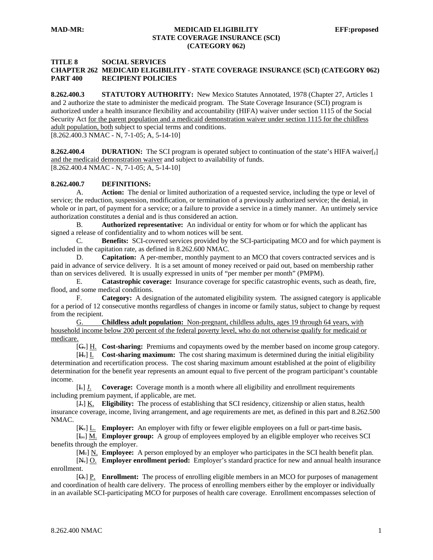#### **TITLE 8 SOCIAL SERVICES CHAPTER 262 MEDICAID ELIGIBILITY - STATE COVERAGE INSURANCE (SCI) (CATEGORY 062) PART 400 RECIPIENT POLICIES**

**8.262.400.3 STATUTORY AUTHORITY:** New Mexico Statutes Annotated, 1978 (Chapter 27, Articles 1 and 2 authorize the state to administer the medicaid program. The State Coverage Insurance (SCI) program is authorized under a health insurance flexibility and accountability (HIFA) waiver under section 1115 of the Social Security Act for the parent population and a medicaid demonstration waiver under section 1115 for the childless adult population, both subject to special terms and conditions.

[8.262.400.3 NMAC - N, 7-1-05; A, 5-14-10]

**8.262.400.4** DURATION: The SCI program is operated subject to continuation of the state's HIFA waiver[ $\frac{1}{2}$ ] and the medicaid demonstration waiver and subject to availability of funds. [8.262.400.4 NMAC - N, 7-1-05; A, 5-14-10]

#### **8.262.400.7 DEFINITIONS:**

 A. **Action:** The denial or limited authorization of a requested service, including the type or level of service; the reduction, suspension, modification, or termination of a previously authorized service; the denial, in whole or in part, of payment for a service; or a failure to provide a service in a timely manner. An untimely service authorization constitutes a denial and is thus considered an action.

 B. **Authorized representative:** An individual or entity for whom or for which the applicant has signed a release of confidentiality and to whom notices will be sent.

 C. **Benefits:** SCI-covered services provided by the SCI-participating MCO and for which payment is included in the capitation rate, as defined in 8.262.600 NMAC.

 D. **Capitation:** A per-member, monthly payment to an MCO that covers contracted services and is paid in advance of service delivery. It is a set amount of money received or paid out, based on membership rather than on services delivered. It is usually expressed in units of "per member per month" (PMPM).

 E. **Catastrophic coverage:** Insurance coverage for specific catastrophic events, such as death, fire, flood, and some medical conditions.

 F. **Category:** A designation of the automated eligibility system. The assigned category is applicable for a period of 12 consecutive months regardless of changes in income or family status, subject to change by request from the recipient.

 G. **Childless adult population:** Non-pregnant, childless adults, ages 19 through 64 years, with household income below 200 percent of the federal poverty level, who do not otherwise qualify for medicaid or medicare.

[G.] H. **Cost-sharing:** Premiums and copayments owed by the member based on income group category.

 [H.] I. **Cost-sharing maximum:** The cost sharing maximum is determined during the initial eligibility determination and recertification process. The cost sharing maximum amount established at the point of eligibility determination for the benefit year represents an amount equal to five percent of the program participant's countable income.

 [I.] J. **Coverage:** Coverage month is a month where all eligibility and enrollment requirements including premium payment, if applicable, are met.

 [J.] K. **Eligibility:** The process of establishing that SCI residency, citizenship or alien status, health insurance coverage, income, living arrangement, and age requirements are met, as defined in this part and 8.262.500 NMAC.

[K.] L. **Employer:** An employer with fifty or fewer eligible employees on a full or part-time basis**.** 

[L.] M. **Employer group:** A group of employees employed by an eligible employer who receives SCI benefits through the employer.

[M.] N. **Employee:** A person employed by an employer who participates in the SCI health benefit plan.

 [N.] O. **Employer enrollment period:** Employer's standard practice for new and annual health insurance enrollment.

 [O.] P. **Enrollment:** The process of enrolling eligible members in an MCO for purposes of management and coordination of health care delivery. The process of enrolling members either by the employer or individually in an available SCI-participating MCO for purposes of health care coverage. Enrollment encompasses selection of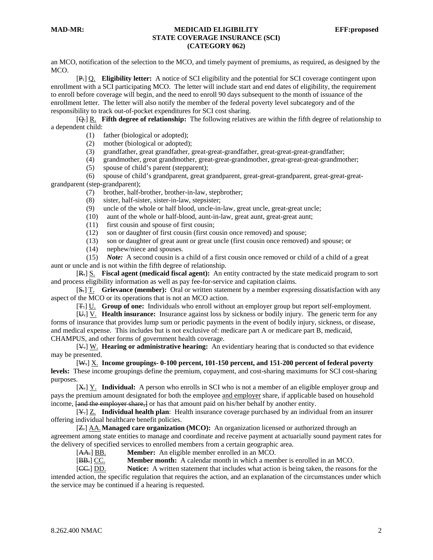an MCO, notification of the selection to the MCO, and timely payment of premiums, as required, as designed by the MCO.

 [P.] Q. **Eligibility letter:** A notice of SCI eligibility and the potential for SCI coverage contingent upon enrollment with a SCI participating MCO. The letter will include start and end dates of eligibility, the requirement to enroll before coverage will begin, and the need to enroll 90 days subsequent to the month of issuance of the enrollment letter. The letter will also notify the member of the federal poverty level subcategory and of the responsibility to track out-of-pocket expenditures for SCI cost sharing.

 [Q.] R. **Fifth degree of relationship:** The following relatives are within the fifth degree of relationship to a dependent child:

- (1) father (biological or adopted);
- (2) mother (biological or adopted);
- (3) grandfather, great grandfather, great-great-grandfather, great-great-great-grandfather;
- (4) grandmother, great grandmother, great-great-grandmother, great-great-great-grandmother;
- (5) spouse of child's parent (stepparent);

 (6) spouse of child's grandparent, great grandparent, great-great-grandparent, great-great-greatgrandparent (step-grandparent);

- (7) brother, half-brother, brother-in-law, stepbrother;
- (8) sister, half-sister, sister-in-law, stepsister;
- (9) uncle of the whole or half blood, uncle-in-law, great uncle, great-great uncle;
- (10) aunt of the whole or half-blood, aunt-in-law, great aunt, great-great aunt;
- (11) first cousin and spouse of first cousin;
- (12) son or daughter of first cousin (first cousin once removed) and spouse;
- (13) son or daughter of great aunt or great uncle (first cousin once removed) and spouse; or
- (14) nephew/niece and spouses.

 (15) *Note:* A second cousin is a child of a first cousin once removed or child of a child of a great aunt or uncle and is not within the fifth degree of relationship.

 [R.] S. **Fiscal agent (medicaid fiscal agent):** An entity contracted by the state medicaid program to sort and process eligibility information as well as pay fee-for-service and capitation claims.

 [S.] T. **Grievance (member):** Oral or written statement by a member expressing dissatisfaction with any aspect of the MCO or its operations that is not an MCO action.

[T.] U. **Group of one:** Individuals who enroll without an employer group but report self-employment.

 [U.] V. **Health insurance:** Insurance against loss by sickness or bodily injury. The generic term for any forms of insurance that provides lump sum or periodic payments in the event of bodily injury, sickness, or disease, and medical expense. This includes but is not exclusive of: medicare part A or medicare part B, medicaid, CHAMPUS, and other forms of government health coverage.

 [V.] W. **Hearing or administrative hearing:** An evidentiary hearing that is conducted so that evidence may be presented.

 [W.] X. **Income groupings- 0-100 percent, 101-150 percent, and 151-200 percent of federal poverty levels:** These income groupings define the premium, copayment, and cost-sharing maximums for SCI cost-sharing purposes.

 [X.] Y. **Individual:** A person who enrolls in SCI who is not a member of an eligible employer group and pays the premium amount designated for both the employee and employer share, if applicable based on household income,  $\{$ and the employer share, I or has that amount paid on his/her behalf by another entity.

 [Y.] Z. **Individual health plan**: Health insurance coverage purchased by an individual from an insurer offering individual healthcare benefit policies.

 [Z.] AA.**Managed care organization (MCO):** An organization licensed or authorized through an agreement among state entities to manage and coordinate and receive payment at actuarially sound payment rates for the delivery of specified services to enrolled members from a certain geographic area.

[AA.] BB. **Member:** An eligible member enrolled in an MCO.

[BB.] CC. **Member month:** A calendar month in which a member is enrolled in an MCO.

 [CC.] DD. **Notice:** A written statement that includes what action is being taken, the reasons for the intended action, the specific regulation that requires the action, and an explanation of the circumstances under which the service may be continued if a hearing is requested.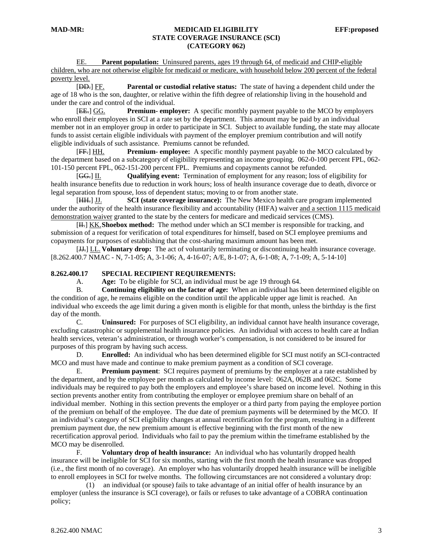EE. **Parent population:** Uninsured parents, ages 19 through 64, of medicaid and CHIP-eligible children, who are not otherwise eligible for medicaid or medicare, with household below 200 percent of the federal poverty level.

 [DD.] FF. **Parental or custodial relative status:** The state of having a dependent child under the age of 18 who is the son, daughter, or relative within the fifth degree of relationship living in the household and under the care and control of the individual.

 [EE.] GG. **Premium- employer:** A specific monthly payment payable to the MCO by employers who enroll their employees in SCI at a rate set by the department. This amount may be paid by an individual member not in an employer group in order to participate in SCI. Subject to available funding, the state may allocate funds to assist certain eligible individuals with payment of the employer premium contribution and will notify eligible individuals of such assistance. Premiums cannot be refunded.

 [FF.] HH. **Premium- employee:** A specific monthly payment payable to the MCO calculated by the department based on a subcategory of eligibility representing an income grouping. 062-0-100 percent FPL, 062- 101-150 percent FPL, 062-151-200 percent FPL. Premiums and copayments cannot be refunded.

 [GG.] II. **Qualifying event:** Termination of employment for any reason; loss of eligibility for health insurance benefits due to reduction in work hours; loss of health insurance coverage due to death, divorce or legal separation from spouse, loss of dependent status; moving to or from another state.

 [HH.] JJ. **SCI (state coverage insurance):** The New Mexico health care program implemented under the authority of the health insurance flexibility and accountability (HIFA) waiver and a section 1115 medicaid demonstration waiver granted to the state by the centers for medicare and medicaid services (CMS).

 [II.] KK.**Shoebox method:** The method under which an SCI member is responsible for tracking, and submission of a request for verification of total expenditures for himself, based on SCI employee premiums and copayments for purposes of establishing that the cost-sharing maximum amount has been met.

 [JJ.] LL. **Voluntary drop:** The act of voluntarily terminating or discontinuing health insurance coverage. [8.262.400.7 NMAC - N, 7-1-05; A, 3-1-06; A, 4-16-07; A/E, 8-1-07; A, 6-1-08; A, 7-1-09; A, 5-14-10]

#### **8.262.400.17 SPECIAL RECIPIENT REQUIREMENTS:**

A. **Age:** To be eligible for SCI, an individual must be age 19 through 64.

 B. **Continuing eligibility on the factor of age:** When an individual has been determined eligible on the condition of age, he remains eligible on the condition until the applicable upper age limit is reached. An individual who exceeds the age limit during a given month is eligible for that month, unless the birthday is the first day of the month.

 C. **Uninsured:** For purposes of SCI eligibility, an individual cannot have health insurance coverage, excluding catastrophic or supplemental health insurance policies. An individual with access to health care at Indian health services, veteran's administration, or through worker's compensation, is not considered to be insured for purposes of this program by having such access.

 D. **Enrolled:** An individual who has been determined eligible for SCI must notify an SCI-contracted MCO and must have made and continue to make premium payment as a condition of SCI coverage.

 E. **Premium payment**: SCI requires payment of premiums by the employer at a rate established by the department, and by the employee per month as calculated by income level: 062A, 062B and 062C. Some individuals may be required to pay both the employers and employee's share based on income level. Nothing in this section prevents another entity from contributing the employer or employee premium share on behalf of an individual member. Nothing in this section prevents the employer or a third party from paying the employee portion of the premium on behalf of the employee. The due date of premium payments will be determined by the MCO. If an individual's category of SCI eligibility changes at annual recertification for the program, resulting in a different premium payment due, the new premium amount is effective beginning with the first month of the new recertification approval period. Individuals who fail to pay the premium within the timeframe established by the MCO may be disenrolled.

 F. **Voluntary drop of health insurance:** An individual who has voluntarily dropped health insurance will be ineligible for SCI for six months, starting with the first month the health insurance was dropped (i.e., the first month of no coverage). An employer who has voluntarily dropped health insurance will be ineligible to enroll employees in SCI for twelve months. The following circumstances are not considered a voluntary drop:

 (1) an individual (or spouse) fails to take advantage of an initial offer of health insurance by an employer (unless the insurance is SCI coverage), or fails or refuses to take advantage of a COBRA continuation policy;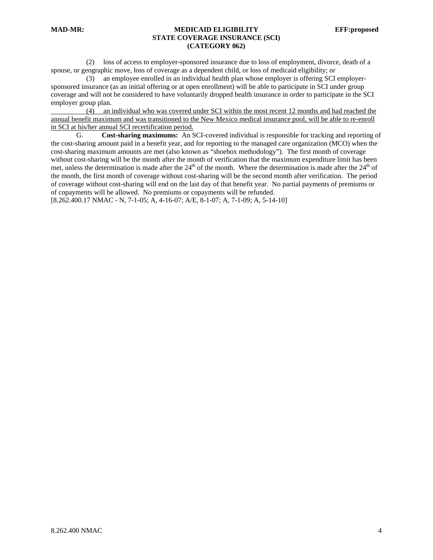(2) loss of access to employer-sponsored insurance due to loss of employment, divorce, death of a spouse, or geographic move, loss of coverage as a dependent child, or loss of medicaid eligibility; or

 (3) an employee enrolled in an individual health plan whose employer is offering SCI employersponsored insurance (as an initial offering or at open enrollment) will be able to participate in SCI under group coverage and will not be considered to have voluntarily dropped health insurance in order to participate in the SCI employer group plan.

 (4) an individual who was covered under SCI within the most recent 12 months and had reached the annual benefit maximum and was transitioned to the New Mexico medical insurance pool, will be able to re-enroll in SCI at his/her annual SCI recertification period.

 G. **Cost-sharing maximums:** An SCI-covered individual is responsible for tracking and reporting of the cost-sharing amount paid in a benefit year, and for reporting to the managed care organization (MCO) when the cost-sharing maximum amounts are met (also known as "shoebox methodology"). The first month of coverage without cost-sharing will be the month after the month of verification that the maximum expenditure limit has been met, unless the determination is made after the  $24<sup>th</sup>$  of the month. Where the determination is made after the  $24<sup>th</sup>$  of the month, the first month of coverage without cost-sharing will be the second month after verification. The period of coverage without cost-sharing will end on the last day of that benefit year. No partial payments of premiums or of copayments will be allowed. No premiums or copayments will be refunded.

[8.262.400.17 NMAC - N, 7-1-05; A, 4-16-07; A/E, 8-1-07; A, 7-1-09; A, 5-14-10]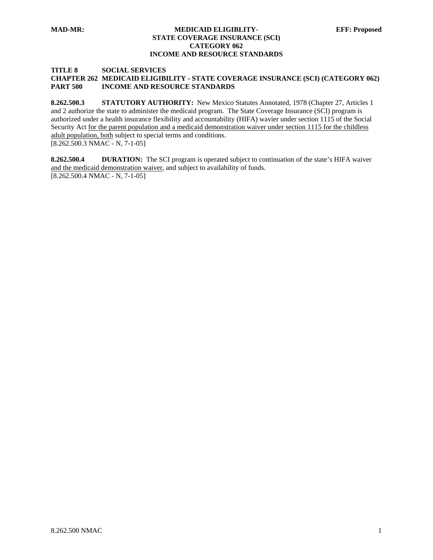#### **MAD-MR: MEDICAID ELIGIBLITY- EFF: Proposed STATE COVERAGE INSURANCE (SCI) CATEGORY 062 INCOME AND RESOURCE STANDARDS**

# **TITLE 8 SOCIAL SERVICES**

## **CHAPTER 262 MEDICAID ELIGIBILITY - STATE COVERAGE INSURANCE (SCI) (CATEGORY 062) PART 500 INCOME AND RESOURCE STANDARDS**

**8.262.500.3 STATUTORY AUTHORITY:** New Mexico Statutes Annotated, 1978 (Chapter 27, Articles 1 and 2 authorize the state to administer the medicaid program. The State Coverage Insurance (SCI) program is authorized under a health insurance flexibility and accountability (HIFA) wavier under section 1115 of the Social Security Act for the parent population and a medicaid demonstration waiver under section 1115 for the childless adult population, both subject to special terms and conditions. [8.262.500.3 NMAC - N, 7-1-05]

**8.262.500.4 DURATION:** The SCI program is operated subject to continuation of the state's HIFA waiver and the medicaid demonstration waiver, and subject to availability of funds. [8.262.500.4 NMAC - N, 7-1-05]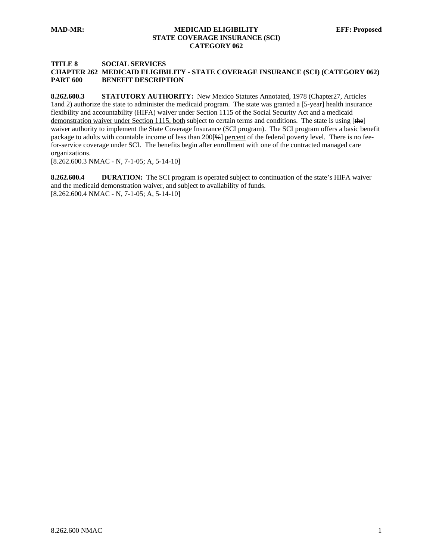#### **TITLE 8 SOCIAL SERVICES CHAPTER 262 MEDICAID ELIGIBILITY - STATE COVERAGE INSURANCE (SCI) (CATEGORY 062) PART 600 BENEFIT DESCRIPTION**

**8.262.600.3 STATUTORY AUTHORITY:** New Mexico Statutes Annotated, 1978 (Chapter27, Articles 1and 2) authorize the state to administer the medicaid program. The state was granted a [5-year] health insurance flexibility and accountability (HIFA) waiver under Section 1115 of the Social Security Act and a medicaid demonstration waiver under Section 1115, both subject to certain terms and conditions. The state is using [the] waiver authority to implement the State Coverage Insurance (SCI program). The SCI program offers a basic benefit package to adults with countable income of less than 200[%] percent of the federal poverty level. There is no feefor-service coverage under SCI. The benefits begin after enrollment with one of the contracted managed care organizations.

[8.262.600.3 NMAC - N, 7-1-05; A, 5-14-10]

**8.262.600.4 DURATION:** The SCI program is operated subject to continuation of the state's HIFA waiver and the medicaid demonstration waiver, and subject to availability of funds. [8.262.600.4 NMAC - N, 7-1-05; A, 5-14-10]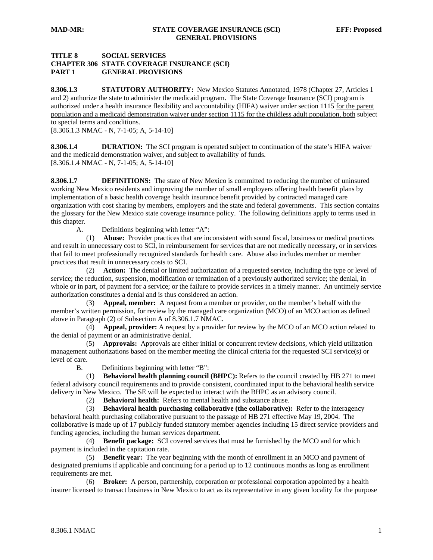# **TITLE 8 SOCIAL SERVICES CHAPTER 306 STATE COVERAGE INSURANCE (SCI) PART 1 GENERAL PROVISIONS**

8.306.1.3 **STATUTORY AUTHORITY:** New Mexico Statutes Annotated, 1978 (Chapter 27, Articles 1 and 2) authorize the state to administer the medicaid program. The State Coverage Insurance (SCI) program is authorized under a health insurance flexibility and accountability (HIFA) waiver under section 1115 for the parent population and a medicaid demonstration waiver under section 1115 for the childless adult population, both subject to special terms and conditions.

[8.306.1.3 NMAC - N, 7-1-05; A, 5-14-10]

**8.306.1.4 DURATION:** The SCI program is operated subject to continuation of the state's HIFA waiver and the medicaid demonstration waiver, and subject to availability of funds. [8.306.1.4 NMAC - N, 7-1-05; A, 5-14-10]

**8.306.1.7 DEFINITIONS:** The state of New Mexico is committed to reducing the number of uninsured working New Mexico residents and improving the number of small employers offering health benefit plans by implementation of a basic health coverage health insurance benefit provided by contracted managed care organization with cost sharing by members, employers and the state and federal governments. This section contains the glossary for the New Mexico state coverage insurance policy. The following definitions apply to terms used in this chapter.

A. Definitions beginning with letter "A":

 (1) **Abuse:** Provider practices that are inconsistent with sound fiscal, business or medical practices and result in unnecessary cost to SCI, in reimbursement for services that are not medically necessary, or in services that fail to meet professionally recognized standards for health care. Abuse also includes member or member practices that result in unnecessary costs to SCI.

 (2) **Action:** The denial or limited authorization of a requested service, including the type or level of service; the reduction, suspension, modification or termination of a previously authorized service; the denial, in whole or in part, of payment for a service; or the failure to provide services in a timely manner. An untimely service authorization constitutes a denial and is thus considered an action.

 (3) **Appeal, member:** A request from a member or provider, on the member's behalf with the member's written permission, for review by the managed care organization (MCO) of an MCO action as defined above in Paragraph (2) of Subsection A of 8.306.1.7 NMAC.

 (4) **Appeal, provider:** A request by a provider for review by the MCO of an MCO action related to the denial of payment or an administrative denial.

 (5) **Approvals:** Approvals are either initial or concurrent review decisions, which yield utilization management authorizations based on the member meeting the clinical criteria for the requested SCI service(s) or level of care.

B. Definitions beginning with letter "B":

 (1) **Behavioral health planning council (BHPC):** Refers to the council created by HB 271 to meet federal advisory council requirements and to provide consistent, coordinated input to the behavioral health service delivery in New Mexico. The SE will be expected to interact with the BHPC as an advisory council.

(2) **Behavioral health:** Refers to mental health and substance abuse.

 (3) **Behavioral health purchasing collaborative (the collaborative):** Refer to the interagency behavioral health purchasing collaborative pursuant to the passage of HB 271 effective May 19, 2004. The collaborative is made up of 17 publicly funded statutory member agencies including 15 direct service providers and funding agencies, including the human services department.

 (4) **Benefit package:** SCI covered services that must be furnished by the MCO and for which payment is included in the capitation rate.

 (5) **Benefit year:** The year beginning with the month of enrollment in an MCO and payment of designated premiums if applicable and continuing for a period up to 12 continuous months as long as enrollment requirements are met.

 (6) **Broker:** A person, partnership, corporation or professional corporation appointed by a health insurer licensed to transact business in New Mexico to act as its representative in any given locality for the purpose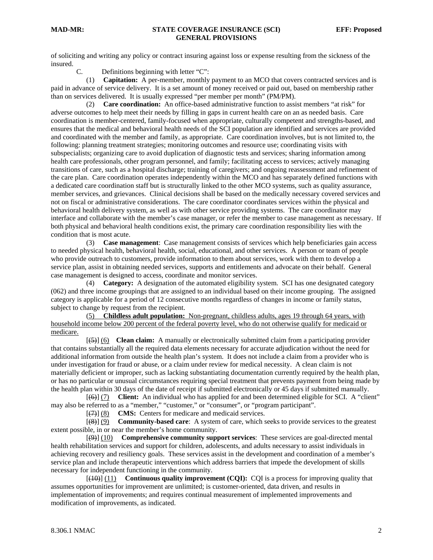of soliciting and writing any policy or contract insuring against loss or expense resulting from the sickness of the insured.

C. Definitions beginning with letter "C":

 (1) **Capitation:** A per-member, monthly payment to an MCO that covers contracted services and is paid in advance of service delivery. It is a set amount of money received or paid out, based on membership rather than on services delivered. It is usually expressed "per member per month" (PM/PM).

 (2) **Care coordination:** An office-based administrative function to assist members "at risk" for adverse outcomes to help meet their needs by filling in gaps in current health care on an as needed basis. Care coordination is member-centered, family-focused when appropriate, culturally competent and strengths-based, and ensures that the medical and behavioral health needs of the SCI population are identified and services are provided and coordinated with the member and family, as appropriate. Care coordination involves, but is not limited to, the following: planning treatment strategies; monitoring outcomes and resource use; coordinating visits with subspecialists; organizing care to avoid duplication of diagnostic tests and services; sharing information among health care professionals, other program personnel, and family; facilitating access to services; actively managing transitions of care, such as a hospital discharge; training of caregivers; and ongoing reassessment and refinement of the care plan. Care coordination operates independently within the MCO and has separately defined functions with a dedicated care coordination staff but is structurally linked to the other MCO systems, such as quality assurance, member services, and grievances. Clinical decisions shall be based on the medically necessary covered services and not on fiscal or administrative considerations. The care coordinator coordinates services within the physical and behavioral health delivery system, as well as with other service providing systems. The care coordinator may interface and collaborate with the member's case manager, or refer the member to case management as necessary. If both physical and behavioral health conditions exist, the primary care coordination responsibility lies with the condition that is most acute.

 (3) **Case management**: Case management consists of services which help beneficiaries gain access to needed physical health, behavioral health, social, educational, and other services. A person or team of people who provide outreach to customers, provide information to them about services, work with them to develop a service plan, assist in obtaining needed services, supports and entitlements and advocate on their behalf. General case management is designed to access, coordinate and monitor services.

 (4) **Category:** A designation of the automated eligibility system. SCI has one designated category (062) and three income groupings that are assigned to an individual based on their income grouping. The assigned category is applicable for a period of 12 consecutive months regardless of changes in income or family status, subject to change by request from the recipient.

 (5) **Childless adult population:** Non-pregnant, childless adults, ages 19 through 64 years, with household income below 200 percent of the federal poverty level, who do not otherwise qualify for medicaid or medicare.

 [(5)] (6) **Clean claim:** A manually or electronically submitted claim from a participating provider that contains substantially all the required data elements necessary for accurate adjudication without the need for additional information from outside the health plan's system. It does not include a claim from a provider who is under investigation for fraud or abuse, or a claim under review for medical necessity. A clean claim is not materially deficient or improper, such as lacking substantiating documentation currently required by the health plan, or has no particular or unusual circumstances requiring special treatment that prevents payment from being made by the health plan within 30 days of the date of receipt if submitted electronically or 45 days if submitted manually.

 [(6)] (7) **Client:** An individual who has applied for and been determined eligible for SCI. A "client" may also be referred to as a "member," "customer," or "consumer", or "program participant".

[(7)] (8) **CMS:** Centers for medicare and medicaid services.

 [(8)] (9) **Community-based care**: A system of care, which seeks to provide services to the greatest extent possible, in or near the member's home community.

 [(9)] (10) **Comprehensive community support services**: These services are goal-directed mental health rehabilitation services and support for children, adolescents, and adults necessary to assist individuals in achieving recovery and resiliency goals. These services assist in the development and coordination of a member's service plan and include therapeutic interventions which address barriers that impede the development of skills necessary for independent functioning in the community.

 [(10)] (11) **Continuous quality improvement (CQI):** CQI is a process for improving quality that assumes opportunities for improvement are unlimited; is customer-oriented, data driven, and results in implementation of improvements; and requires continual measurement of implemented improvements and modification of improvements, as indicated.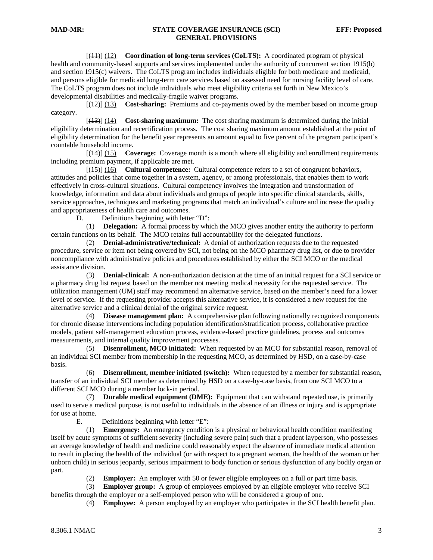[(11)] (12) **Coordination of long-term services (CoLTS):** A coordinated program of physical health and community-based supports and services implemented under the authority of concurrent section 1915(b) and section 1915(c) waivers. The CoLTS program includes individuals eligible for both medicare and medicaid, and persons eligible for medicaid long-term care services based on assessed need for nursing facility level of care. The CoLTS program does not include individuals who meet eligibility criteria set forth in New Mexico's developmental disabilities and medically-fragile waiver programs.

 [(12)] (13) **Cost-sharing:** Premiums and co-payments owed by the member based on income group category.

 [(13)] (14) **Cost-sharing maximum:** The cost sharing maximum is determined during the initial eligibility determination and recertification process. The cost sharing maximum amount established at the point of eligibility determination for the benefit year represents an amount equal to five percent of the program participant's countable household income.

 [(14)] (15) **Coverage:** Coverage month is a month where all eligibility and enrollment requirements including premium payment, if applicable are met.

 [(15)] (16) **Cultural competence:** Cultural competence refers to a set of congruent behaviors, attitudes and policies that come together in a system, agency, or among professionals, that enables them to work effectively in cross-cultural situations. Cultural competency involves the integration and transformation of knowledge, information and data about individuals and groups of people into specific clinical standards, skills, service approaches, techniques and marketing programs that match an individual's culture and increase the quality and appropriateness of health care and outcomes.

D. Definitions beginning with letter "D":

 (1) **Delegation:** A formal process by which the MCO gives another entity the authority to perform certain functions on its behalf. The MCO retains full accountability for the delegated functions.

 (2) **Denial-administrative/technical:** A denial of authorization requests due to the requested procedure, service or item not being covered by SCI, not being on the MCO pharmacy drug list, or due to provider noncompliance with administrative policies and procedures established by either the SCI MCO or the medical assistance division.

 (3) **Denial-clinical:** A non-authorization decision at the time of an initial request for a SCI service or a pharmacy drug list request based on the member not meeting medical necessity for the requested service. The utilization management (UM) staff may recommend an alternative service, based on the member's need for a lower level of service. If the requesting provider accepts this alternative service, it is considered a new request for the alternative service and a clinical denial of the original service request.

 (4) **Disease management plan:** A comprehensive plan following nationally recognized components for chronic disease interventions including population identification/stratification process, collaborative practice models, patient self-management education process, evidence-based practice guidelines, process and outcomes measurements, and internal quality improvement processes.

 (5) **Disenrollment, MCO initiated:** When requested by an MCO for substantial reason, removal of an individual SCI member from membership in the requesting MCO, as determined by HSD, on a case-by-case basis.

 (6) **Disenrollment, member initiated (switch):** When requested by a member for substantial reason, transfer of an individual SCI member as determined by HSD on a case-by-case basis, from one SCI MCO to a different SCI MCO during a member lock-in period.

 (7) **Durable medical equipment (DME):** Equipment that can withstand repeated use, is primarily used to serve a medical purpose, is not useful to individuals in the absence of an illness or injury and is appropriate for use at home.

E. Definitions beginning with letter "E":

 (1) **Emergency:** An emergency condition is a physical or behavioral health condition manifesting itself by acute symptoms of sufficient severity (including severe pain) such that a prudent layperson, who possesses an average knowledge of health and medicine could reasonably expect the absence of immediate medical attention to result in placing the health of the individual (or with respect to a pregnant woman, the health of the woman or her unborn child) in serious jeopardy, serious impairment to body function or serious dysfunction of any bodily organ or part.

(2) **Employer:** An employer with 50 or fewer eligible employees on a full or part time basis.

 (3) **Employer group:** A group of employees employed by an eligible employer who receive SCI benefits through the employer or a self-employed person who will be considered a group of one.

(4) **Employee:** A person employed by an employer who participates in the SCI health benefit plan.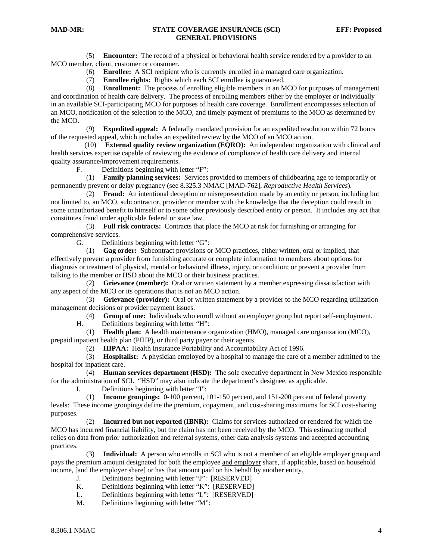(5) **Encounter:** The record of a physical or behavioral health service rendered by a provider to an MCO member, client, customer or consumer.

(6) **Enrollee:** A SCI recipient who is currently enrolled in a managed care organization.

(7) **Enrollee rights:** Rights which each SCI enrollee is guaranteed.

 (8) **Enrollment:** The process of enrolling eligible members in an MCO for purposes of management and coordination of health care delivery. The process of enrolling members either by the employer or individually in an available SCI-participating MCO for purposes of health care coverage. Enrollment encompasses selection of an MCO, notification of the selection to the MCO, and timely payment of premiums to the MCO as determined by the MCO.

 (9) **Expedited appeal:** A federally mandated provision for an expedited resolution within 72 hours of the requested appeal, which includes an expedited review by the MCO of an MCO action.

 (10) **External quality review organization (EQRO):** An independent organization with clinical and health services expertise capable of reviewing the evidence of compliance of health care delivery and internal quality assurance/improvement requirements.

F. Definitions beginning with letter "F":

 (1) **Family planning services:** Services provided to members of childbearing age to temporarily or permanently prevent or delay pregnancy (see 8.325.3 NMAC [MAD-762], *Reproductive Health Services*).

 (2) **Fraud:** An intentional deception or misrepresentation made by an entity or person, including but not limited to, an MCO, subcontractor, provider or member with the knowledge that the deception could result in some unauthorized benefit to himself or to some other previously described entity or person. It includes any act that constitutes fraud under applicable federal or state law.

 (3) **Full risk contracts:** Contracts that place the MCO at risk for furnishing or arranging for comprehensive services.

G. Definitions beginning with letter "G":

 (1) **Gag order:** Subcontract provisions or MCO practices, either written, oral or implied, that effectively prevent a provider from furnishing accurate or complete information to members about options for diagnosis or treatment of physical, mental or behavioral illness, injury, or condition; or prevent a provider from talking to the member or HSD about the MCO or their business practices.

 (2) **Grievance (member):** Oral or written statement by a member expressing dissatisfaction with any aspect of the MCO or its operations that is not an MCO action.

 (3) **Grievance (provider):** Oral or written statement by a provider to the MCO regarding utilization management decisions or provider payment issues.

(4) **Group of one:** Individuals who enroll without an employer group but report self-employment.

H. Definitions beginning with letter "H":

 (1) **Health plan:** A health maintenance organization (HMO), managed care organization (MCO), prepaid inpatient health plan (PIHP), or third party payer or their agents.

(2) **HIPAA:** Health Insurance Portability and Accountability Act of 1996.

 (3) **Hospitalist:** A physician employed by a hospital to manage the care of a member admitted to the hospital for inpatient care.

 (4) **Human services department (HSD):** The sole executive department in New Mexico responsible for the administration of SCI. "HSD" may also indicate the department's designee, as applicable.

I. Definitions beginning with letter "I":

 (1) **Income groupings:** 0-100 percent, 101-150 percent, and 151-200 percent of federal poverty levels: These income groupings define the premium, copayment, and cost-sharing maximums for SCI cost-sharing purposes.

 (2) **Incurred but not reported (IBNR):** Claims for services authorized or rendered for which the MCO has incurred financial liability, but the claim has not been received by the MCO. This estimating method relies on data from prior authorization and referral systems, other data analysis systems and accepted accounting practices.

 (3) **Individual:** A person who enrolls in SCI who is not a member of an eligible employer group and pays the premium amount designated for both the employee and employer share, if applicable, based on household income, [and the employer share] or has that amount paid on his behalf by another entity.

- J. Definitions beginning with letter "J": [RESERVED]
- K. Definitions beginning with letter "K": [RESERVED]
- L. Definitions beginning with letter "L": [RESERVED]
- M. Definitions beginning with letter "M":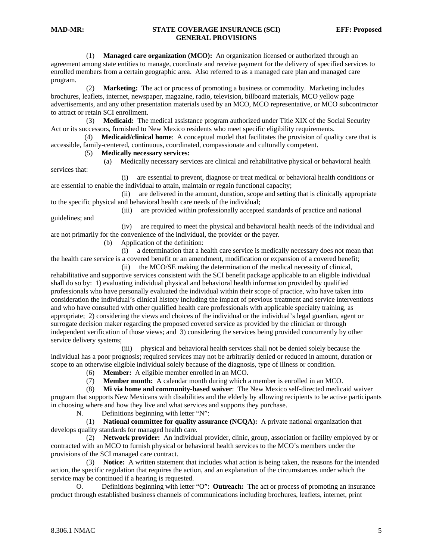(1) **Managed care organization (MCO):** An organization licensed or authorized through an agreement among state entities to manage, coordinate and receive payment for the delivery of specified services to enrolled members from a certain geographic area. Also referred to as a managed care plan and managed care program.

 (2) **Marketing:** The act or process of promoting a business or commodity. Marketing includes brochures, leaflets, internet, newspaper, magazine, radio, television, billboard materials, MCO yellow page advertisements, and any other presentation materials used by an MCO, MCO representative, or MCO subcontractor to attract or retain SCI enrollment.

 (3) **Medicaid:** The medical assistance program authorized under Title XIX of the Social Security Act or its successors, furnished to New Mexico residents who meet specific eligibility requirements.

 (4) **Medicaid/clinical home**: A conceptual model that facilitates the provision of quality care that is accessible, family-centered, continuous, coordinated, compassionate and culturally competent.

#### (5) **Medically necessary services:**

 (a) Medically necessary services are clinical and rehabilitative physical or behavioral health services that:

 (i) are essential to prevent, diagnose or treat medical or behavioral health conditions or are essential to enable the individual to attain, maintain or regain functional capacity;

 (ii) are delivered in the amount, duration, scope and setting that is clinically appropriate to the specific physical and behavioral health care needs of the individual;

 (iii) are provided within professionally accepted standards of practice and national guidelines; and

 (iv) are required to meet the physical and behavioral health needs of the individual and are not primarily for the convenience of the individual, the provider or the payer.

(b) Application of the definition:

 (i) a determination that a health care service is medically necessary does not mean that the health care service is a covered benefit or an amendment, modification or expansion of a covered benefit;

 (ii) the MCO/SE making the determination of the medical necessity of clinical, rehabilitative and supportive services consistent with the SCI benefit package applicable to an eligible individual shall do so by: 1) evaluating individual physical and behavioral health information provided by qualified professionals who have personally evaluated the individual within their scope of practice, who have taken into consideration the individual's clinical history including the impact of previous treatment and service interventions and who have consulted with other qualified health care professionals with applicable specialty training, as appropriate; 2) considering the views and choices of the individual or the individual's legal guardian, agent or surrogate decision maker regarding the proposed covered service as provided by the clinician or through independent verification of those views; and 3) considering the services being provided concurrently by other service delivery systems;

 (iii) physical and behavioral health services shall not be denied solely because the individual has a poor prognosis; required services may not be arbitrarily denied or reduced in amount, duration or scope to an otherwise eligible individual solely because of the diagnosis, type of illness or condition.

(6) **Member:** A eligible member enrolled in an MCO.

(7) **Member month:** A calendar month during which a member is enrolled in an MCO.

 (8) **Mi via home and community-based waiver**: The New Mexico self-directed medicaid waiver program that supports New Mexicans with disabilities and the elderly by allowing recipients to be active participants in choosing where and how they live and what services and supports they purchase.

N. Definitions beginning with letter "N":

 (1) **National committee for quality assurance (NCQA):** A private national organization that develops quality standards for managed health care.

 (2) **Network provider:** An individual provider, clinic, group, association or facility employed by or contracted with an MCO to furnish physical or behavioral health services to the MCO's members under the provisions of the SCI managed care contract.

 (3) **Notice:** A written statement that includes what action is being taken, the reasons for the intended action, the specific regulation that requires the action, and an explanation of the circumstances under which the service may be continued if a hearing is requested.

 O. Definitions beginning with letter "O": **Outreach:** The act or process of promoting an insurance product through established business channels of communications including brochures, leaflets, internet, print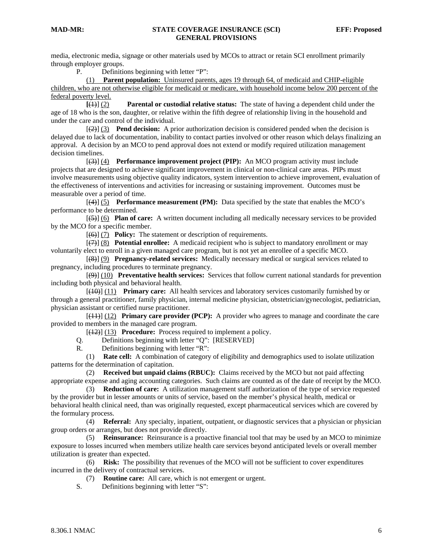media, electronic media, signage or other materials used by MCOs to attract or retain SCI enrollment primarily through employer groups.

P. Definitions beginning with letter "P":

 (1) **Parent population:** Uninsured parents, ages 19 through 64, of medicaid and CHIP-eligible children, who are not otherwise eligible for medicaid or medicare, with household income below 200 percent of the federal poverty level.

 **[**(1)] (2) **Parental or custodial relative status:** The state of having a dependent child under the age of 18 who is the son, daughter, or relative within the fifth degree of relationship living in the household and under the care and control of the individual.

 [(2)] (3) **Pend decision:** A prior authorization decision is considered pended when the decision is delayed due to lack of documentation, inability to contact parties involved or other reason which delays finalizing an approval. A decision by an MCO to pend approval does not extend or modify required utilization management decision timelines.

 [(3)] (4) **Performance improvement project (PIP):** An MCO program activity must include projects that are designed to achieve significant improvement in clinical or non-clinical care areas. PIPs must involve measurements using objective quality indicators, system intervention to achieve improvement, evaluation of the effectiveness of interventions and activities for increasing or sustaining improvement. Outcomes must be measurable over a period of time.

 [(4)] (5) **Performance measurement (PM):** Data specified by the state that enables the MCO's performance to be determined.

 [(5)] (6) **Plan of care:** A written document including all medically necessary services to be provided by the MCO for a specific member.

[(6)] (7) **Policy:** The statement or description of requirements.

 [(7)] (8) **Potential enrollee:** A medicaid recipient who is subject to mandatory enrollment or may voluntarily elect to enroll in a given managed care program, but is not yet an enrollee of a specific MCO.

 [(8)] (9) **Pregnancy-related services:** Medically necessary medical or surgical services related to pregnancy, including procedures to terminate pregnancy.

 [(9)] (10) **Preventative health services:** Services that follow current national standards for prevention including both physical and behavioral health.

 [(10)] (11) **Primary care:** All health services and laboratory services customarily furnished by or through a general practitioner, family physician, internal medicine physician, obstetrician/gynecologist, pediatrician, physician assistant or certified nurse practitioner.

 [(11)] (12) **Primary care provider (PCP):** A provider who agrees to manage and coordinate the care provided to members in the managed care program.

[(12)] (13) **Procedure:** Process required to implement a policy.

Q. Definitions beginning with letter "Q": [RESERVED]

R. Definitions beginning with letter "R":

 (1) **Rate cell:** A combination of category of eligibility and demographics used to isolate utilization patterns for the determination of capitation.

 (2) **Received but unpaid claims (RBUC):** Claims received by the MCO but not paid affecting appropriate expense and aging accounting categories. Such claims are counted as of the date of receipt by the MCO.

 (3) **Reduction of care:** A utilization management staff authorization of the type of service requested by the provider but in lesser amounts or units of service, based on the member's physical health, medical or behavioral health clinical need, than was originally requested, except pharmaceutical services which are covered by the formulary process.

 (4) **Referral:** Any specialty, inpatient, outpatient, or diagnostic services that a physician or physician group orders or arranges, but does not provide directly.

 (5) **Reinsurance:** Reinsurance is a proactive financial tool that may be used by an MCO to minimize exposure to losses incurred when members utilize health care services beyond anticipated levels or overall member utilization is greater than expected.

 (6) **Risk:** The possibility that revenues of the MCO will not be sufficient to cover expenditures incurred in the delivery of contractual services.

(7) **Routine care:** All care, which is not emergent or urgent.

S. Definitions beginning with letter "S":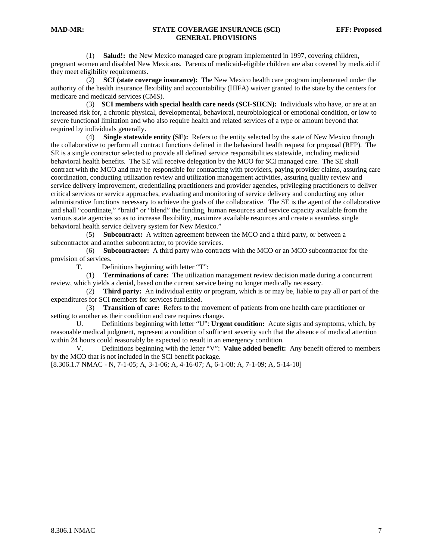(1) **Salud!:** the New Mexico managed care program implemented in 1997, covering children, pregnant women and disabled New Mexicans. Parents of medicaid-eligible children are also covered by medicaid if they meet eligibility requirements.

 (2) **SCI (state coverage insurance):** The New Mexico health care program implemented under the authority of the health insurance flexibility and accountability (HIFA) waiver granted to the state by the centers for medicare and medicaid services (CMS).

 (3) **SCI members with special health care needs (SCI-SHCN):** Individuals who have, or are at an increased risk for, a chronic physical, developmental, behavioral, neurobiological or emotional condition, or low to severe functional limitation and who also require health and related services of a type or amount beyond that required by individuals generally.

 (4) **Single statewide entity (SE):** Refers to the entity selected by the state of New Mexico through the collaborative to perform all contract functions defined in the behavioral health request for proposal (RFP). The SE is a single contractor selected to provide all defined service responsibilities statewide, including medicaid behavioral health benefits. The SE will receive delegation by the MCO for SCI managed care. The SE shall contract with the MCO and may be responsible for contracting with providers, paying provider claims, assuring care coordination, conducting utilization review and utilization management activities, assuring quality review and service delivery improvement, credentialing practitioners and provider agencies, privileging practitioners to deliver critical services or service approaches, evaluating and monitoring of service delivery and conducting any other administrative functions necessary to achieve the goals of the collaborative. The SE is the agent of the collaborative and shall "coordinate," "braid" or "blend" the funding, human resources and service capacity available from the various state agencies so as to increase flexibility, maximize available resources and create a seamless single behavioral health service delivery system for New Mexico."

 (5) **Subcontract:** A written agreement between the MCO and a third party, or between a subcontractor and another subcontractor, to provide services.

 (6) **Subcontractor:** A third party who contracts with the MCO or an MCO subcontractor for the provision of services.

T. Definitions beginning with letter "T":

 (1) **Terminations of care:** The utilization management review decision made during a concurrent review, which yields a denial, based on the current service being no longer medically necessary.

 (2) **Third party:** An individual entity or program, which is or may be, liable to pay all or part of the expenditures for SCI members for services furnished.

 (3) **Transition of care:** Refers to the movement of patients from one health care practitioner or setting to another as their condition and care requires change.

 U. Definitions beginning with letter "U": **Urgent condition:** Acute signs and symptoms, which, by reasonable medical judgment, represent a condition of sufficient severity such that the absence of medical attention within 24 hours could reasonably be expected to result in an emergency condition.

 V. Definitions beginning with the letter "V": **Value added benefit:** Any benefit offered to members by the MCO that is not included in the SCI benefit package.

[8.306.1.7 NMAC - N, 7-1-05; A, 3-1-06; A, 4-16-07; A, 6-1-08; A, 7-1-09; A, 5-14-10]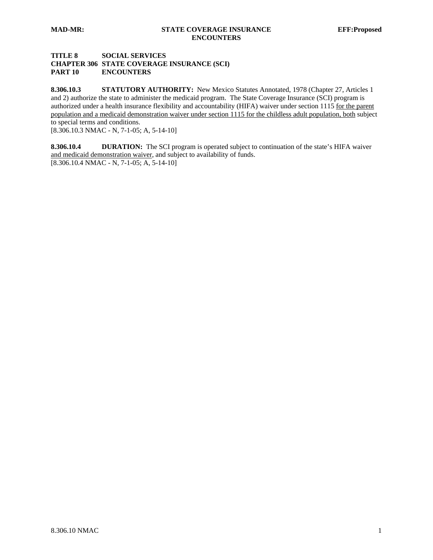# **TITLE 8 SOCIAL SERVICES CHAPTER 306 STATE COVERAGE INSURANCE (SCI) PART 10 ENCOUNTERS**

**8.306.10.3 STATUTORY AUTHORITY:** New Mexico Statutes Annotated, 1978 (Chapter 27, Articles 1 and 2) authorize the state to administer the medicaid program. The State Coverage Insurance (SCI) program is authorized under a health insurance flexibility and accountability (HIFA) waiver under section 1115 for the parent population and a medicaid demonstration waiver under section 1115 for the childless adult population, both subject to special terms and conditions.

[8.306.10.3 NMAC - N, 7-1-05; A, 5-14-10]

**8.306.10.4 DURATION:** The SCI program is operated subject to continuation of the state's HIFA waiver and medicaid demonstration waiver, and subject to availability of funds.  $[8.306.10.4 \text{ NMAC} - \text{N}, 7 - 1 - 05; \text{A}, 5 - 14 - 10]$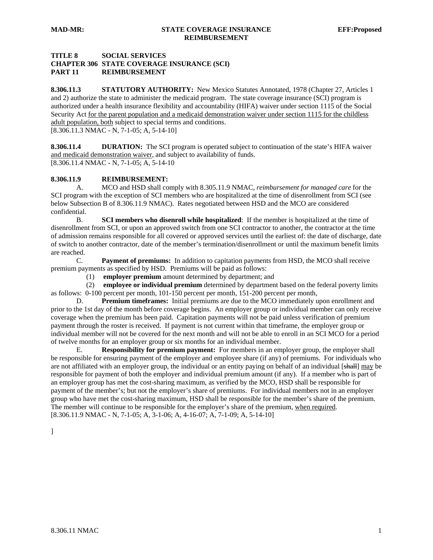# **TITLE 8 SOCIAL SERVICES CHAPTER 306 STATE COVERAGE INSURANCE (SCI) PART 11 REIMBURSEMENT**

**8.306.11.3 STATUTORY AUTHORITY:** New Mexico Statutes Annotated, 1978 (Chapter 27, Articles 1 and 2) authorize the state to administer the medicaid program. The state coverage insurance (SCI) program is authorized under a health insurance flexibility and accountability (HIFA) waiver under section 1115 of the Social Security Act for the parent population and a medicaid demonstration waiver under section 1115 for the childless adult population, both subject to special terms and conditions. [8.306.11.3 NMAC - N, 7-1-05; A, 5-14-10]

**8.306.11.4 DURATION:** The SCI program is operated subject to continuation of the state's HIFA waiver and medicaid demonstration waiver, and subject to availability of funds. [8.306.11.4 NMAC - N, 7-1-05; A, 5-14-10

#### **8.306.11.9 REIMBURSEMENT:**

 A. MCO and HSD shall comply with 8.305.11.9 NMAC, *reimbursement for managed care* for the SCI program with the exception of SCI members who are hospitalized at the time of disenrollment from SCI (see below Subsection B of 8.306.11.9 NMAC). Rates negotiated between HSD and the MCO are considered confidential.

B. **SCI members who disenroll while hospitalized**: If the member is hospitalized at the time of disenrollment from SCI, or upon an approved switch from one SCI contractor to another, the contractor at the time of admission remains responsible for all covered or approved services until the earliest of: the date of discharge, date of switch to another contractor, date of the member's termination/disenrollment or until the maximum benefit limits are reached.

 C. **Payment of premiums:** In addition to capitation payments from HSD, the MCO shall receive premium payments as specified by HSD. Premiums will be paid as follows:

(1) **employer premium** amount determined by department; and

 (2) **employee or individual premium** determined by department based on the federal poverty limits as follows: 0-100 percent per month, 101-150 percent per month, 151-200 percent per month,

 D. **Premium timeframes:** Initial premiums are due to the MCO immediately upon enrollment and prior to the 1st day of the month before coverage begins. An employer group or individual member can only receive coverage when the premium has been paid. Capitation payments will not be paid unless verification of premium payment through the roster is received. If payment is not current within that timeframe, the employer group or individual member will not be covered for the next month and will not be able to enroll in an SCI MCO for a period of twelve months for an employer group or six months for an individual member.

 E. **Responsibility for premium payment:** For members in an employer group, the employer shall be responsible for ensuring payment of the employer and employee share (if any) of premiums. For individuals who are not affiliated with an employer group, the individual or an entity paying on behalf of an individual [shall] may be responsible for payment of both the employer and individual premium amount (if any). If a member who is part of an employer group has met the cost-sharing maximum, as verified by the MCO, HSD shall be responsible for payment of the member's; but not the employer's share of premiums. For individual members not in an employer group who have met the cost-sharing maximum, HSD shall be responsible for the member's share of the premium. The member will continue to be responsible for the employer's share of the premium, when required. [8.306.11.9 NMAC - N, 7-1-05; A, 3-1-06; A, 4-16-07; A, 7-1-09; A, 5-14-10]

]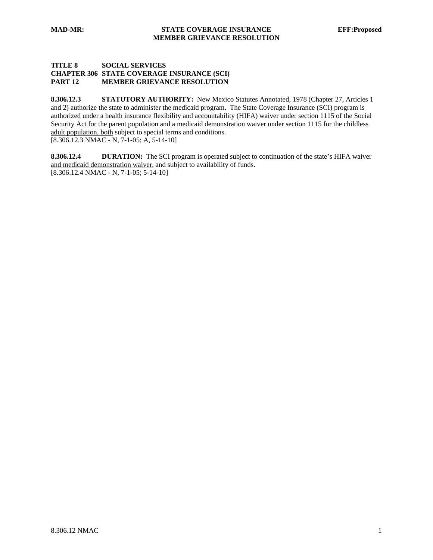#### **TITLE 8 SOCIAL SERVICES CHAPTER 306 STATE COVERAGE INSURANCE (SCI) PART 12 MEMBER GRIEVANCE RESOLUTION**

8.306.12.3 STATUTORY AUTHORITY: New Mexico Statutes Annotated, 1978 (Chapter 27, Articles 1 and 2) authorize the state to administer the medicaid program. The State Coverage Insurance (SCI) program is authorized under a health insurance flexibility and accountability (HIFA) waiver under section 1115 of the Social Security Act for the parent population and a medicaid demonstration waiver under section 1115 for the childless adult population, both subject to special terms and conditions. [8.306.12.3 NMAC - N, 7-1-05; A, 5-14-10]

**8.306.12.4 DURATION:** The SCI program is operated subject to continuation of the state's HIFA waiver and medicaid demonstration waiver, and subject to availability of funds. [8.306.12.4 NMAC - N, 7-1-05; 5-14-10]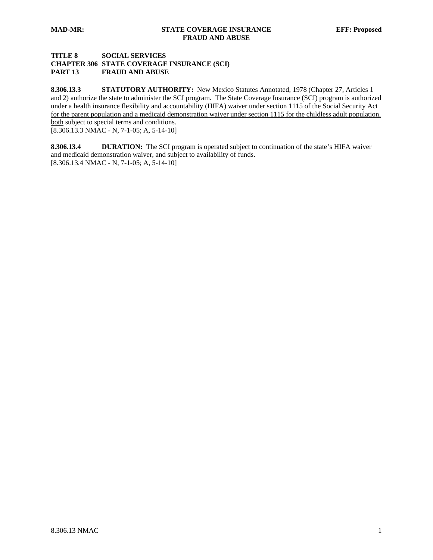# **TITLE 8 SOCIAL SERVICES CHAPTER 306 STATE COVERAGE INSURANCE (SCI) PART 13 FRAUD AND ABUSE**

**8.306.13.3 STATUTORY AUTHORITY:** New Mexico Statutes Annotated, 1978 (Chapter 27, Articles 1 and 2) authorize the state to administer the SCI program. The State Coverage Insurance (SCI) program is authorized under a health insurance flexibility and accountability (HIFA) waiver under section 1115 of the Social Security Act for the parent population and a medicaid demonstration waiver under section 1115 for the childless adult population, both subject to special terms and conditions.

 $\overline{[8.306.13.3 \text{ NMAC - N, 7-1-05; A, 5-14-10]}}$ 

**8.306.13.4 DURATION:** The SCI program is operated subject to continuation of the state's HIFA waiver and medicaid demonstration waiver, and subject to availability of funds.  $[8.306.13.4 \text{ NMAC} - \text{N}, 7 - 1 - 05; \text{A}, 5 - 14 - 10]$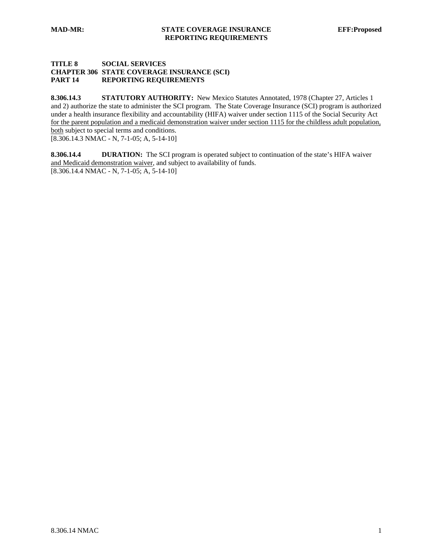#### **TITLE 8 SOCIAL SERVICES CHAPTER 306 STATE COVERAGE INSURANCE (SCI) PART 14 REPORTING REQUIREMENTS**

8.306.14.3 **STATUTORY AUTHORITY:** New Mexico Statutes Annotated, 1978 (Chapter 27, Articles 1 and 2) authorize the state to administer the SCI program. The State Coverage Insurance (SCI) program is authorized under a health insurance flexibility and accountability (HIFA) waiver under section 1115 of the Social Security Act for the parent population and a medicaid demonstration waiver under section 1115 for the childless adult population, both subject to special terms and conditions. [8.306.14.3 NMAC - N, 7-1-05; A, 5-14-10]

**8.306.14.4 DURATION:** The SCI program is operated subject to continuation of the state's HIFA waiver and Medicaid demonstration waiver, and subject to availability of funds.

 $[8.306.14.4 \text{ NMAC} - \text{N}, 7 - 1 - 05; \text{A}, 5 - 14 - 10]$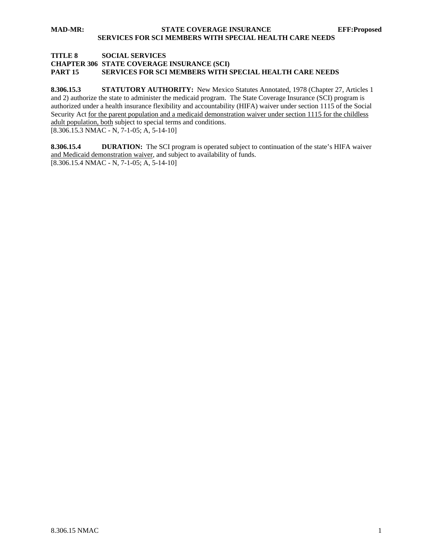## **TITLE 8 SOCIAL SERVICES CHAPTER 306 STATE COVERAGE INSURANCE (SCI) PART 15 SERVICES FOR SCI MEMBERS WITH SPECIAL HEALTH CARE NEEDS**

**8.306.15.3 STATUTORY AUTHORITY:** New Mexico Statutes Annotated, 1978 (Chapter 27, Articles 1 and 2) authorize the state to administer the medicaid program. The State Coverage Insurance (SCI) program is authorized under a health insurance flexibility and accountability (HIFA) waiver under section 1115 of the Social Security Act for the parent population and a medicaid demonstration waiver under section 1115 for the childless adult population, both subject to special terms and conditions.  $[8.306.15.3 \text{ NMAC} - \text{N}, 7-1-05; \text{A}, 5-14-10]$ 

**8.306.15.4 DURATION:** The SCI program is operated subject to continuation of the state's HIFA waiver and Medicaid demonstration waiver, and subject to availability of funds.  $[8.306.15.4 \text{ NMAC} - \text{N}, 7 - 1 - 05; \text{A}, 5 - 14 - 10]$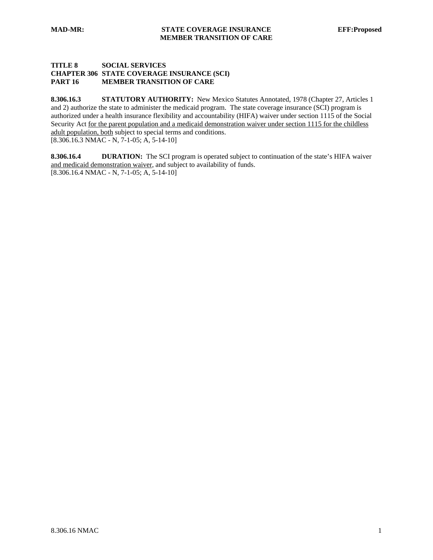#### **TITLE 8 SOCIAL SERVICES CHAPTER 306 STATE COVERAGE INSURANCE (SCI) PART 16 MEMBER TRANSITION OF CARE**

8.306.16.3 STATUTORY AUTHORITY: New Mexico Statutes Annotated, 1978 (Chapter 27, Articles 1 and 2) authorize the state to administer the medicaid program. The state coverage insurance (SCI) program is authorized under a health insurance flexibility and accountability (HIFA) waiver under section 1115 of the Social Security Act for the parent population and a medicaid demonstration waiver under section 1115 for the childless adult population, both subject to special terms and conditions. [8.306.16.3 NMAC - N, 7-1-05; A, 5-14-10]

**8.306.16.4 DURATION:** The SCI program is operated subject to continuation of the state's HIFA waiver and medicaid demonstration waiver, and subject to availability of funds.  $[8.306.16.4 \text{ NMAC} - \text{N}, 7 - 1 - 05; \text{A}, 5 - 14 - 10]$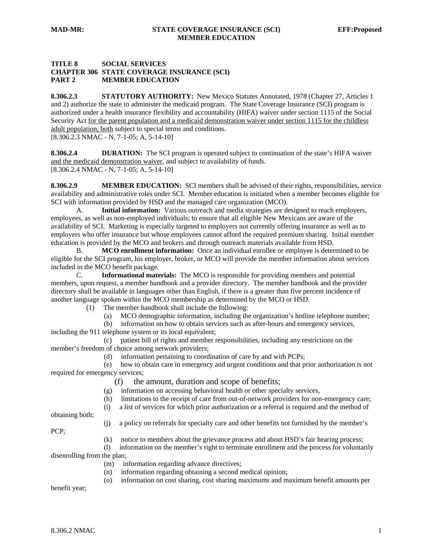#### **TITLE 8 SOCIAL SERVICES CHAPTER 306 STATE COVERAGE INSURANCE (SCI) PART 2 MEMBER EDUCATION**

8.306.2.3 **STATUTORY AUTHORITY:** New Mexico Statutes Annotated, 1978 (Chapter 27, Articles 1 and 2) authorize the state to administer the medicaid program. The State Coverage Insurance (SCI) program is authorized under a health insurance flexibility and accountability (HIFA) waiver under section 1115 of the Social Security Act for the parent population and a medicaid demonstration waiver under section 1115 for the childless adult population, both subject to special terms and conditions.

[8.306.2.3 NMAC - N, 7-1-05; A, 5-14-10]

**8.306.2.4 DURATION:** The SCI program is operated subject to continuation of the state's HIFA waiver and the medicaid demonstration waiver, and subject to availability of funds. [8.306.2.4 NMAC - N, 7-1-05; A, 5-14-10]

**8.306.2.9 MEMBER EDUCATION:** SCI members shall be advised of their rights, responsibilities, service availability and administrative roles under SCI. Member education is initiated when a member becomes eligible for SCI with information provided by HSD and the managed care organization (MCO).

 A. **Initial information:** Various outreach and media strategies are designed to reach employers, employees, as well as non-employed individuals; to ensure that all eligible New Mexicans are aware of the availability of SCI. Marketing is especially targeted to employers not currently offering insurance as well as to employers who offer insurance but whose employees cannot afford the required premium sharing. Initial member education is provided by the MCO and brokers and through outreach materials available from HSD.

B. **MCO enrollment information:** Once an individual enrollee or employee is determined to be eligible for the SCI program, his employer, broker, or MCO will provide the member information about services included in the MCO benefit package.

 C. **Informational materials:** The MCO is responsible for providing members and potential members, upon request, a member handbook and a provider directory. The member handbook and the provider directory shall be available in languages other than English, if there is a greater than five percent incidence of another language spoken within the MCO membership as determined by the MCO or HSD.

(1) The member handbook shall include the following:

(a) MCO demographic information, including the organization's hotline telephone number;

 (b) information on how to obtain services such as after-hours and emergency services, including the 911 telephone system or its local equivalent;

 (c) patient bill of rights and member responsibilities, including any restrictions on the member's freedom of choice among network providers;

(d) information pertaining to coordination of care by and with PCPs;

 (e) how to obtain care in emergency and urgent conditions and that prior authorization is not required for emergency services;

(f) the amount, duration and scope of benefits;

(g) information on accessing behavioral health or other specialty services,

(h) limitations to the receipt of care from out-of-network providers for non-emergency care;

(i) a list of services for which prior authorization or a referral is required and the method of

obtaining both;

(j) a policy on referrals for specialty care and other benefits not furnished by the member's

PCP;

(k) notice to members about the grievance process and about HSD's fair hearing process;

 (l) information on the member's right to terminate enrollment and the process for voluntarily disenrolling from the plan;

- (m) information regarding advance directives;
- (n) information regarding obtaining a second medical opinion;
- (o) information on cost sharing, cost sharing maximums and maximum benefit amounts per

benefit year;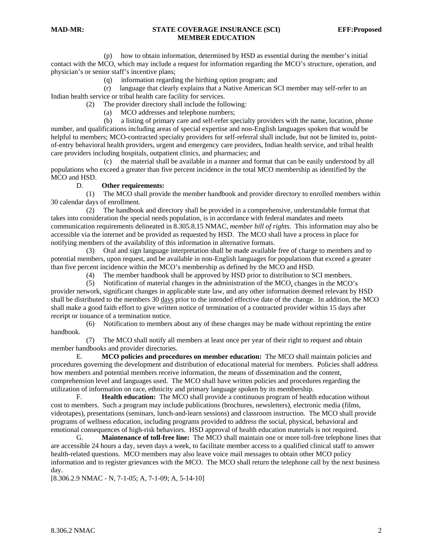#### **MAD-MR: STATE COVERAGE INSURANCE (SCI) EFF:Proposed MEMBER EDUCATION**

 (p) how to obtain information, determined by HSD as essential during the member's initial contact with the MCO, which may include a request for information regarding the MCO's structure, operation, and physician's or senior staff's incentive plans;

(q) information regarding the birthing option program; and

 (r) language that clearly explains that a Native American SCI member may self-refer to an Indian health service or tribal health care facility for services.

(2) The provider directory shall include the following:

(a) MCO addresses and telephone numbers;

 (b) a listing of primary care and self-refer specialty providers with the name, location, phone number, and qualifications including areas of special expertise and non-English languages spoken that would be helpful to members; MCO-contracted specialty providers for self-referral shall include, but not be limited to, pointof-entry behavioral health providers, urgent and emergency care providers, Indian health service, and tribal health care providers including hospitals, outpatient clinics, and pharmacies; and

 (c) the material shall be available in a manner and format that can be easily understood by all populations who exceed a greater than five percent incidence in the total MCO membership as identified by the MCO and HSD.

#### D. **Other requirements:**

 (1) The MCO shall provide the member handbook and provider directory to enrolled members within 30 calendar days of enrollment.

 (2) The handbook and directory shall be provided in a comprehensive, understandable format that takes into consideration the special needs population, is in accordance with federal mandates and meets communication requirements delineated in 8.305.8.15 NMAC, *member bill of rights*. This information may also be accessible via the internet and be provided as requested by HSD. The MCO shall have a process in place for notifying members of the availability of this information in alternative formats.

 (3) Oral and sign language interpretation shall be made available free of charge to members and to potential members, upon request, and be available in non-English languages for populations that exceed a greater than five percent incidence within the MCO's membership as defined by the MCO and HSD.

(4) The member handbook shall be approved by HSD prior to distribution to SCI members.

 (5) Notification of material changes in the administration of the MCO, changes in the MCO's provider network, significant changes in applicable state law, and any other information deemed relevant by HSD shall be distributed to the members 30 days prior to the intended effective date of the change. In addition, the MCO shall make a good faith effort to give written notice of termination of a contracted provider within 15 days after receipt or issuance of a termination notice.

 (6) Notification to members about any of these changes may be made without reprinting the entire handbook.

 (7) The MCO shall notify all members at least once per year of their right to request and obtain member handbooks and provider directories.

 E. **MCO policies and procedures on member education:** The MCO shall maintain policies and procedures governing the development and distribution of educational material for members. Policies shall address how members and potential members receive information, the means of dissemination and the content, comprehension level and languages used. The MCO shall have written policies and procedures regarding the utilization of information on race, ethnicity and primary language spoken by its membership.

 F. **Health education:** The MCO shall provide a continuous program of health education without cost to members. Such a program may include publications (brochures, newsletters), electronic media (films, videotapes), presentations (seminars, lunch-and-learn sessions) and classroom instruction. The MCO shall provide programs of wellness education, including programs provided to address the social, physical, behavioral and emotional consequences of high-risk behaviors. HSD approval of health education materials is not required.

 G. **Maintenance of toll-free line:** The MCO shall maintain one or more toll-free telephone lines that are accessible 24 hours a day, seven days a week, to facilitate member access to a qualified clinical staff to answer health-related questions. MCO members may also leave voice mail messages to obtain other MCO policy information and to register grievances with the MCO. The MCO shall return the telephone call by the next business day.

[8.306.2.9 NMAC - N, 7-1-05; A, 7-1-09; A, 5-14-10]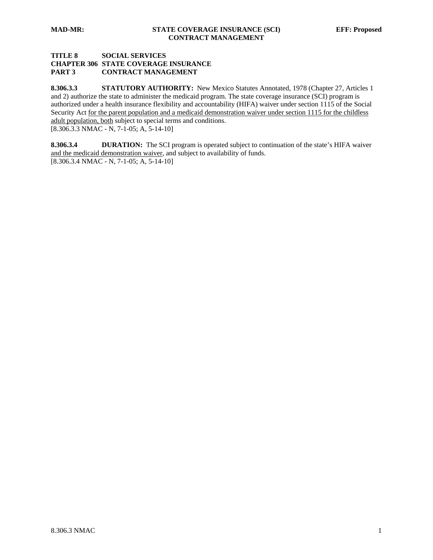# **TITLE 8 SOCIAL SERVICES CHAPTER 306 STATE COVERAGE INSURANCE PART 3 CONTRACT MANAGEMENT**

8.306.3.3 **STATUTORY AUTHORITY:** New Mexico Statutes Annotated, 1978 (Chapter 27, Articles 1 and 2) authorize the state to administer the medicaid program. The state coverage insurance (SCI) program is authorized under a health insurance flexibility and accountability (HIFA) waiver under section 1115 of the Social Security Act for the parent population and a medicaid demonstration waiver under section 1115 for the childless adult population, both subject to special terms and conditions. [8.306.3.3 NMAC - N, 7-1-05; A, 5-14-10]

**8.306.3.4 DURATION:** The SCI program is operated subject to continuation of the state's HIFA waiver and the medicaid demonstration waiver, and subject to availability of funds. [8.306.3.4 NMAC - N, 7-1-05; A, 5-14-10]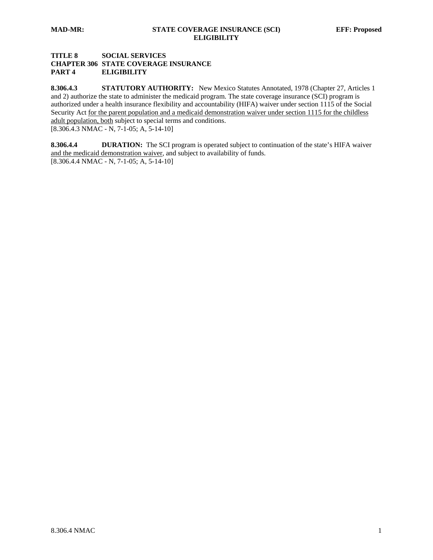# **TITLE 8 SOCIAL SERVICES CHAPTER 306 STATE COVERAGE INSURANCE PART 4 ELIGIBILITY**

8.306.4.3 **STATUTORY AUTHORITY:** New Mexico Statutes Annotated, 1978 (Chapter 27, Articles 1 and 2) authorize the state to administer the medicaid program. The state coverage insurance (SCI) program is authorized under a health insurance flexibility and accountability (HIFA) waiver under section 1115 of the Social Security Act for the parent population and a medicaid demonstration waiver under section 1115 for the childless adult population, both subject to special terms and conditions. [8.306.4.3 NMAC - N, 7-1-05; A, 5-14-10]

**8.306.4.4 DURATION:** The SCI program is operated subject to continuation of the state's HIFA waiver and the medicaid demonstration waiver, and subject to availability of funds. [8.306.4.4 NMAC - N, 7-1-05; A, 5-14-10]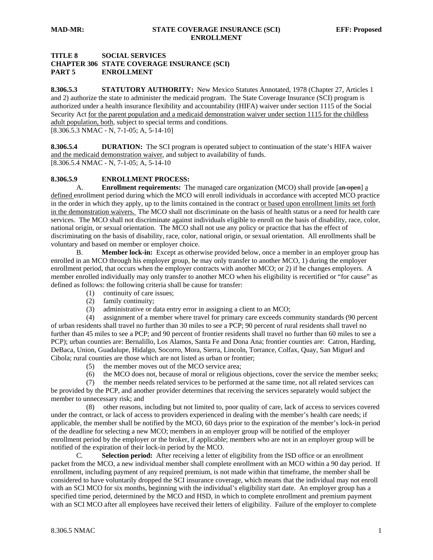# **TITLE 8 SOCIAL SERVICES CHAPTER 306 STATE COVERAGE INSURANCE (SCI) PART 5 ENROLLMENT**

8.306.5.3 **STATUTORY AUTHORITY:** New Mexico Statutes Annotated, 1978 (Chapter 27, Articles 1 and 2) authorize the state to administer the medicaid program. The State Coverage Insurance (SCI) program is authorized under a health insurance flexibility and accountability (HIFA) waiver under section 1115 of the Social Security Act for the parent population and a medicaid demonstration waiver under section 1115 for the childless adult population, both, subject to special terms and conditions. [8.306.5.3 NMAC - N, 7-1-05; A, 5-14-10]

**8.306.5.4 DURATION:** The SCI program is operated subject to continuation of the state's HIFA waiver and the medicaid demonstration waiver, and subject to availability of funds. [8.306.5.4 NMAC - N, 7-1-05; A, 5-14-10

#### **8.306.5.9 ENROLLMENT PROCESS:**

A. **Enrollment requirements:** The managed care organization (MCO) shall provide [an open] a defined enrollment period during which the MCO will enroll individuals in accordance with accepted MCO practice in the order in which they apply, up to the limits contained in the contract or based upon enrollment limits set forth in the demonstration waivers. The MCO shall not discriminate on the basis of health status or a need for health care services. The MCO shall not discriminate against individuals eligible to enroll on the basis of disability, race, color, national origin, or sexual orientation. The MCO shall not use any policy or practice that has the effect of discriminating on the basis of disability, race, color, national origin, or sexual orientation. All enrollments shall be voluntary and based on member or employer choice.

 B. **Member lock-in:** Except as otherwise provided below, once a member in an employer group has enrolled in an MCO through his employer group, he may only transfer to another MCO, 1) during the employer enrollment period, that occurs when the employer contracts with another MCO; or 2) if he changes employers. A member enrolled individually may only transfer to another MCO when his eligibility is recertified or "for cause" as defined as follows: the following criteria shall be cause for transfer:

- (1) continuity of care issues;
- (2) family continuity;
- (3) administrative or data entry error in assigning a client to an MCO;

 (4) assignment of a member where travel for primary care exceeds community standards (90 percent of urban residents shall travel no further than 30 miles to see a PCP; 90 percent of rural residents shall travel no further than 45 miles to see a PCP; and 90 percent of frontier residents shall travel no further than 60 miles to see a PCP); urban counties are: Bernalillo, Los Alamos, Santa Fe and Dona Ana; frontier counties are: Catron, Harding, DeBaca, Union, Guadalupe, Hidalgo, Socorro, Mora, Sierra, Lincoln, Torrance, Colfax, Quay, San Miguel and Cibola; rural counties are those which are not listed as urban or frontier;

- (5) the member moves out of the MCO service area;
- (6) the MCO does not, because of moral or religious objections, cover the service the member seeks;

 (7) the member needs related services to be performed at the same time, not all related services can be provided by the PCP, and another provider determines that receiving the services separately would subject the member to unnecessary risk; and

 (8) other reasons, including but not limited to, poor quality of care, lack of access to services covered under the contract, or lack of access to providers experienced in dealing with the member's health care needs; if applicable, the member shall be notified by the MCO, 60 days prior to the expiration of the member's lock-in period of the deadline for selecting a new MCO; members in an employer group will be notified of the employer enrollment period by the employer or the broker, if applicable; members who are not in an employer group will be notified of the expiration of their lock-in period by the MCO.

 C. **Selection period:** After receiving a letter of eligibility from the ISD office or an enrollment packet from the MCO, a new individual member shall complete enrollment with an MCO within a 90 day period. If enrollment, including payment of any required premium, is not made within that timeframe, the member shall be considered to have voluntarily dropped the SCI insurance coverage, which means that the individual may not enroll with an SCI MCO for six months, beginning with the individual's eligibility start date. An employer group has a specified time period, determined by the MCO and HSD, in which to complete enrollment and premium payment with an SCI MCO after all employees have received their letters of eligibility. Failure of the employer to complete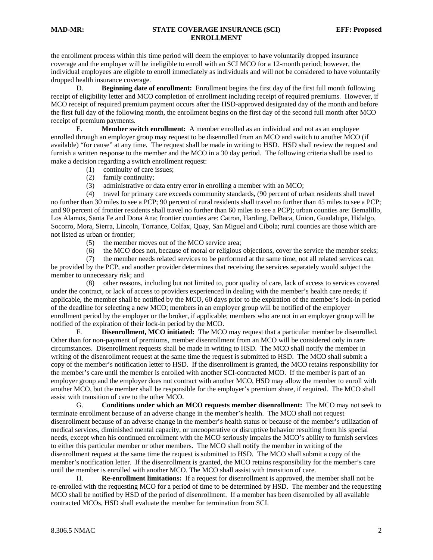#### **MAD-MR: STATE COVERAGE INSURANCE (SCI) EFF: Proposed ENROLLMENT**

the enrollment process within this time period will deem the employer to have voluntarily dropped insurance coverage and the employer will be ineligible to enroll with an SCI MCO for a 12-month period; however, the individual employees are eligible to enroll immediately as individuals and will not be considered to have voluntarily dropped health insurance coverage.

 D. **Beginning date of enrollment:** Enrollment begins the first day of the first full month following receipt of eligibility letter and MCO completion of enrollment including receipt of required premiums. However, if MCO receipt of required premium payment occurs after the HSD-approved designated day of the month and before the first full day of the following month, the enrollment begins on the first day of the second full month after MCO receipt of premium payments.

 E. **Member switch enrollment:** A member enrolled as an individual and not as an employee enrolled through an employer group may request to be disenrolled from an MCO and switch to another MCO (if available) "for cause" at any time. The request shall be made in writing to HSD. HSD shall review the request and furnish a written response to the member and the MCO in a 30 day period. The following criteria shall be used to make a decision regarding a switch enrollment request:

- (1) continuity of care issues;
- (2) family continuity;
- (3) administrative or data entry error in enrolling a member with an MCO;

 (4) travel for primary care exceeds community standards, (90 percent of urban residents shall travel no further than 30 miles to see a PCP; 90 percent of rural residents shall travel no further than 45 miles to see a PCP; and 90 percent of frontier residents shall travel no further than 60 miles to see a PCP); urban counties are: Bernalillo, Los Alamos, Santa Fe and Dona Ana; frontier counties are: Catron, Harding, DeBaca, Union, Guadalupe, Hidalgo, Socorro, Mora, Sierra, Lincoln, Torrance, Colfax, Quay, San Miguel and Cibola; rural counties are those which are not listed as urban or frontier;

- (5) the member moves out of the MCO service area;
- (6) the MCO does not, because of moral or religious objections, cover the service the member seeks;

 (7) the member needs related services to be performed at the same time, not all related services can be provided by the PCP, and another provider determines that receiving the services separately would subject the member to unnecessary risk; and

 (8) other reasons, including but not limited to, poor quality of care, lack of access to services covered under the contract, or lack of access to providers experienced in dealing with the member's health care needs; if applicable, the member shall be notified by the MCO, 60 days prior to the expiration of the member's lock-in period of the deadline for selecting a new MCO; members in an employer group will be notified of the employer enrollment period by the employer or the broker, if applicable; members who are not in an employer group will be notified of the expiration of their lock-in period by the MCO.

 F. **Disenrollment, MCO initiated:** The MCO may request that a particular member be disenrolled. Other than for non-payment of premiums, member disenrollment from an MCO will be considered only in rare circumstances. Disenrollment requests shall be made in writing to HSD. The MCO shall notify the member in writing of the disenrollment request at the same time the request is submitted to HSD. The MCO shall submit a copy of the member's notification letter to HSD. If the disenrollment is granted, the MCO retains responsibility for the member's care until the member is enrolled with another SCI-contracted MCO. If the member is part of an employer group and the employer does not contract with another MCO, HSD may allow the member to enroll with another MCO, but the member shall be responsible for the employer's premium share, if required. The MCO shall assist with transition of care to the other MCO.

 G. **Conditions under which an MCO requests member disenrollment:** The MCO may not seek to terminate enrollment because of an adverse change in the member's health. The MCO shall not request disenrollment because of an adverse change in the member's health status or because of the member's utilization of medical services, diminished mental capacity, or uncooperative or disruptive behavior resulting from his special needs, except when his continued enrollment with the MCO seriously impairs the MCO's ability to furnish services to either this particular member or other members. The MCO shall notify the member in writing of the disenrollment request at the same time the request is submitted to HSD. The MCO shall submit a copy of the member's notification letter. If the disenrollment is granted, the MCO retains responsibility for the member's care until the member is enrolled with another MCO. The MCO shall assist with transition of care.

 H. **Re-enrollment limitations:** If a request for disenrollment is approved, the member shall not be re-enrolled with the requesting MCO for a period of time to be determined by HSD. The member and the requesting MCO shall be notified by HSD of the period of disenrollment. If a member has been disenrolled by all available contracted MCOs, HSD shall evaluate the member for termination from SCI.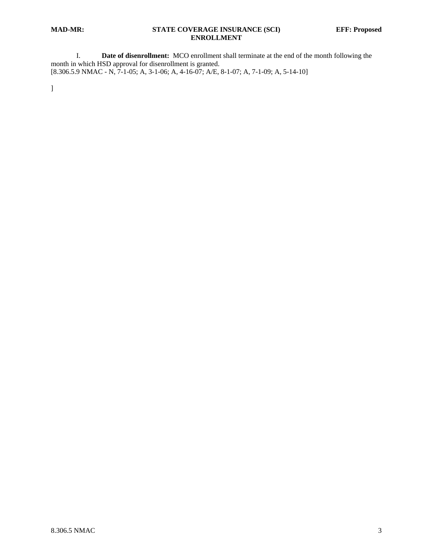## **MAD-MR: STATE COVERAGE INSURANCE (SCI) EFF: Proposed ENROLLMENT**

 I. **Date of disenrollment:** MCO enrollment shall terminate at the end of the month following the month in which HSD approval for disenrollment is granted. [8.306.5.9 NMAC - N, 7-1-05; A, 3-1-06; A, 4-16-07; A/E, 8-1-07; A, 7-1-09; A, 5-14-10]

]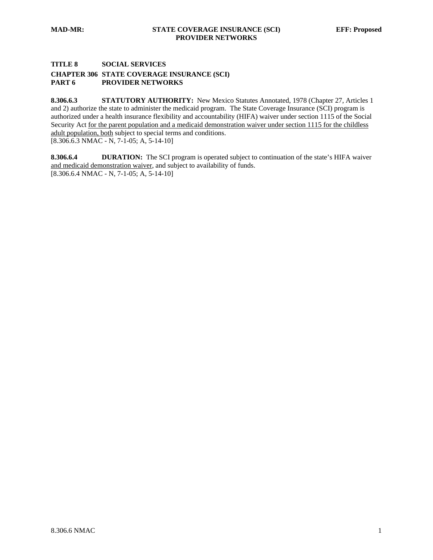## **TITLE 8 SOCIAL SERVICES**

## **CHAPTER 306 STATE COVERAGE INSURANCE (SCI) PART 6 PROVIDER NETWORKS**

8.306.6.3 **STATUTORY AUTHORITY:** New Mexico Statutes Annotated, 1978 (Chapter 27, Articles 1 and 2) authorize the state to administer the medicaid program. The State Coverage Insurance (SCI) program is authorized under a health insurance flexibility and accountability (HIFA) waiver under section 1115 of the Social Security Act for the parent population and a medicaid demonstration waiver under section 1115 for the childless adult population, both subject to special terms and conditions.  $[8.306.6.3 \text{ NMAC - N}, 7-1-05; \text{ A}, 5-14-10]$ 

**8.306.6.4 DURATION:** The SCI program is operated subject to continuation of the state's HIFA waiver and medicaid demonstration waiver, and subject to availability of funds. [8.306.6.4 NMAC - N, 7-1-05; A, 5-14-10]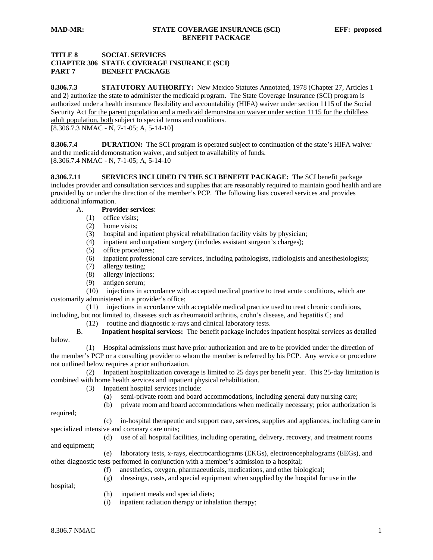# **TITLE 8 SOCIAL SERVICES CHAPTER 306 STATE COVERAGE INSURANCE (SCI) PART 7 BENEFIT PACKAGE**

**8.306.7.3 STATUTORY AUTHORITY:** New Mexico Statutes Annotated, 1978 (Chapter 27, Articles 1 and 2) authorize the state to administer the medicaid program. The State Coverage Insurance (SCI) program is authorized under a health insurance flexibility and accountability (HIFA) waiver under section 1115 of the Social Security Act for the parent population and a medicaid demonstration waiver under section 1115 for the childless adult population, both subject to special terms and conditions.

 $[8.306.7.3 \text{ NMAC - N}, 7-1-05; \text{ A}, 5-14-10]$ 

**8.306.7.4 DURATION:** The SCI program is operated subject to continuation of the state's HIFA waiver and the medicaid demonstration waiver, and subject to availability of funds. [8.306.7.4 NMAC - N, 7-1-05; A, 5-14-10

**8.306.7.11 SERVICES INCLUDED IN THE SCI BENEFIT PACKAGE:** The SCI benefit package includes provider and consultation services and supplies that are reasonably required to maintain good health and are provided by or under the direction of the member's PCP. The following lists covered services and provides additional information.

# A. **Provider services**:

- (1) office visits;
- (2) home visits;
- (3) hospital and inpatient physical rehabilitation facility visits by physician;
- (4) inpatient and outpatient surgery (includes assistant surgeon's charges);
- (5) office procedures;
- (6) inpatient professional care services, including pathologists, radiologists and anesthesiologists;
- (7) allergy testing;
- (8) allergy injections;
- (9) antigen serum;

 (10) injections in accordance with accepted medical practice to treat acute conditions, which are customarily administered in a provider's office;

 (11) injections in accordance with acceptable medical practice used to treat chronic conditions, including, but not limited to, diseases such as rheumatoid arthritis, crohn's disease, and hepatitis C; and

(12) routine and diagnostic x-rays and clinical laboratory tests.

 B. **Inpatient hospital services:** The benefit package includes inpatient hospital services as detailed below.

 (1) Hospital admissions must have prior authorization and are to be provided under the direction of the member's PCP or a consulting provider to whom the member is referred by his PCP. Any service or procedure not outlined below requires a prior authorization.

 (2) Inpatient hospitalization coverage is limited to 25 days per benefit year. This 25-day limitation is combined with home health services and inpatient physical rehabilitation.

- (3) Inpatient hospital services include:
	- (a) semi-private room and board accommodations, including general duty nursing care;
	- (b) private room and board accommodations when medically necessary; prior authorization is

required;

(c) in-hospital therapeutic and support care, services, supplies and appliances, including care in

specialized intensive and coronary care units;

 (d) use of all hospital facilities, including operating, delivery, recovery, and treatment rooms and equipment;

 (e) laboratory tests, x-rays, electrocardiograms (EKGs), electroencephalograms (EEGs), and other diagnostic tests performed in conjunction with a member's admission to a hospital;

(f) anesthetics, oxygen, pharmaceuticals, medications, and other biological;

(g) dressings, casts, and special equipment when supplied by the hospital for use in the

- hospital;
- (h) inpatient meals and special diets;
- (i) inpatient radiation therapy or inhalation therapy;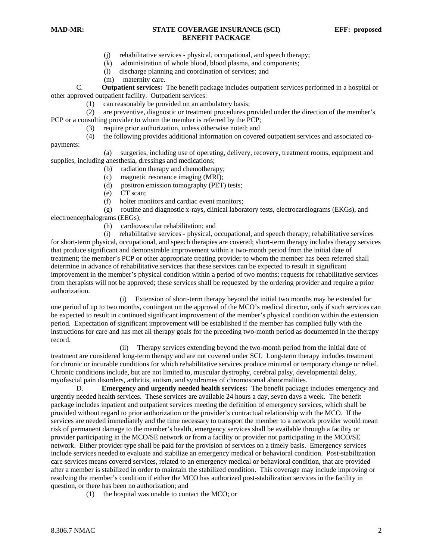- (j) rehabilitative services physical, occupational, and speech therapy;
- (k) administration of whole blood, blood plasma, and components;
- (l) discharge planning and coordination of services; and
- (m) maternity care.

 C. **Outpatient services:** The benefit package includes outpatient services performed in a hospital or other approved outpatient facility. Outpatient services:

(1) can reasonably be provided on an ambulatory basis;

 (2) are preventive, diagnostic or treatment procedures provided under the direction of the member's PCP or a consulting provider to whom the member is referred by the PCP;

- (3) require prior authorization, unless otherwise noted; and
- (4) the following provides additional information on covered outpatient services and associated co-

payments:

 (a) surgeries, including use of operating, delivery, recovery, treatment rooms, equipment and supplies, including anesthesia, dressings and medications;

- (b) radiation therapy and chemotherapy;
- (c) magnetic resonance imaging (MRI);
- (d) positron emission tomography (PET) tests;
- (e) CT scan;
- (f) holter monitors and cardiac event monitors;

(g) routine and diagnostic x-rays, clinical laboratory tests, electrocardiograms (EKGs), and

electroencephalograms (EEGs);

(h) cardiovascular rehabilitation; and

 (i) rehabilitative services - physical, occupational, and speech therapy; rehabilitative services for short-term physical, occupational, and speech therapies are covered; short-term therapy includes therapy services that produce significant and demonstrable improvement within a two-month period from the initial date of treatment; the member's PCP or other appropriate treating provider to whom the member has been referred shall determine in advance of rehabilitative services that these services can be expected to result in significant improvement in the member's physical condition within a period of two months; requests for rehabilitative services from therapists will not be approved; these services shall be requested by the ordering provider and require a prior authorization.

 (i) Extension of short-term therapy beyond the initial two months may be extended for one period of up to two months, contingent on the approval of the MCO's medical director, only if such services can be expected to result in continued significant improvement of the member's physical condition within the extension period. Expectation of significant improvement will be established if the member has complied fully with the instructions for care and has met all therapy goals for the preceding two-month period as documented in the therapy record.

 (ii) Therapy services extending beyond the two-month period from the initial date of treatment are considered long-term therapy and are not covered under SCI. Long-term therapy includes treatment for chronic or incurable conditions for which rehabilitative services produce minimal or temporary change or relief. Chronic conditions include, but are not limited to, muscular dystrophy, cerebral palsy, developmental delay, myofascial pain disorders, arthritis, autism, and syndromes of chromosomal abnormalities.

 D. **Emergency and urgently needed health services:** The benefit package includes emergency and urgently needed health services. These services are available 24 hours a day, seven days a week. The benefit package includes inpatient and outpatient services meeting the definition of emergency services, which shall be provided without regard to prior authorization or the provider's contractual relationship with the MCO. If the services are needed immediately and the time necessary to transport the member to a network provider would mean risk of permanent damage to the member's health, emergency services shall be available through a facility or provider participating in the MCO/SE network or from a facility or provider not participating in the MCO/SE network. Either provider type shall be paid for the provision of services on a timely basis. Emergency services include services needed to evaluate and stabilize an emergency medical or behavioral condition. Post-stabilization care services means covered services, related to an emergency medical or behavioral condition, that are provided after a member is stabilized in order to maintain the stabilized condition. This coverage may include improving or resolving the member's condition if either the MCO has authorized post-stabilization services in the facility in question, or there has been no authorization; and

(1) the hospital was unable to contact the MCO; or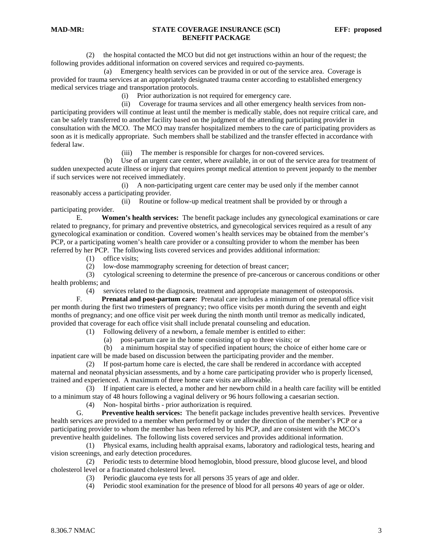(2) the hospital contacted the MCO but did not get instructions within an hour of the request; the following provides additional information on covered services and required co-payments.

 (a) Emergency health services can be provided in or out of the service area. Coverage is provided for trauma services at an appropriately designated trauma center according to established emergency medical services triage and transportation protocols.

(i) Prior authorization is not required for emergency care.

 (ii) Coverage for trauma services and all other emergency health services from nonparticipating providers will continue at least until the member is medically stable, does not require critical care, and can be safely transferred to another facility based on the judgment of the attending participating provider in consultation with the MCO. The MCO may transfer hospitalized members to the care of participating providers as soon as it is medically appropriate. Such members shall be stabilized and the transfer effected in accordance with federal law.

(iii) The member is responsible for charges for non-covered services.

 (b) Use of an urgent care center, where available, in or out of the service area for treatment of sudden unexpected acute illness or injury that requires prompt medical attention to prevent jeopardy to the member if such services were not received immediately.

 (i) A non-participating urgent care center may be used only if the member cannot reasonably access a participating provider.

 (ii) Routine or follow-up medical treatment shall be provided by or through a participating provider.

 E. **Women's health services:** The benefit package includes any gynecological examinations or care related to pregnancy, for primary and preventive obstetrics, and gynecological services required as a result of any gynecological examination or condition. Covered women's health services may be obtained from the member's PCP, or a participating women's health care provider or a consulting provider to whom the member has been referred by her PCP. The following lists covered services and provides additional information:

- (1) office visits;
- (2) low-dose mammography screening for detection of breast cancer;

 (3) cytological screening to determine the presence of pre-cancerous or cancerous conditions or other health problems; and

(4) services related to the diagnosis, treatment and appropriate management of osteoporosis.

 F. **Prenatal and post-partum care:** Prenatal care includes a minimum of one prenatal office visit per month during the first two trimesters of pregnancy; two office visits per month during the seventh and eight months of pregnancy; and one office visit per week during the ninth month until tremor as medically indicated, provided that coverage for each office visit shall include prenatal counseling and education.

(1) Following delivery of a newborn, a female member is entitled to either:

(a) post-partum care in the home consisting of up to three visits; or

 (b) a minimum hospital stay of specified inpatient hours; the choice of either home care or inpatient care will be made based on discussion between the participating provider and the member.

 (2) If post-partum home care is elected, the care shall be rendered in accordance with accepted maternal and neonatal physician assessments, and by a home care participating provider who is properly licensed, trained and experienced. A maximum of three home care visits are allowable.

 (3) If inpatient care is elected, a mother and her newborn child in a health care facility will be entitled to a minimum stay of 48 hours following a vaginal delivery or 96 hours following a caesarian section.

(4) Non- hospital births - prior authorization is required*.*

 G. **Preventive health services:** The benefit package includes preventive health services. Preventive health services are provided to a member when performed by or under the direction of the member's PCP or a participating provider to whom the member has been referred by his PCP, and are consistent with the MCO's preventive health guidelines. The following lists covered services and provides additional information.

 (1) Physical exams, including health appraisal exams, laboratory and radiological tests, hearing and vision screenings, and early detection procedures.

 (2) Periodic tests to determine blood hemoglobin, blood pressure, blood glucose level, and blood cholesterol level or a fractionated cholesterol level.

- (3) Periodic glaucoma eye tests for all persons 35 years of age and older.
- (4) Periodic stool examination for the presence of blood for all persons 40 years of age or older.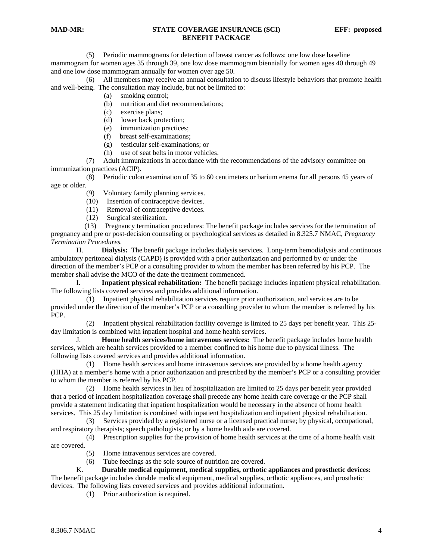(5) Periodic mammograms for detection of breast cancer as follows: one low dose baseline mammogram for women ages 35 through 39, one low dose mammogram biennially for women ages 40 through 49 and one low dose mammogram annually for women over age 50.

 (6) All members may receive an annual consultation to discuss lifestyle behaviors that promote health and well-being. The consultation may include, but not be limited to:

(a) smoking control;

- (b) nutrition and diet recommendations;
- (c) exercise plans;
- (d) lower back protection;
- (e) immunization practices;
- (f) breast self-examinations;
- (g) testicular self-examinations; or
- (h) use of seat belts in motor vehicles.

 (7) Adult immunizations in accordance with the recommendations of the advisory committee on immunization practices (ACIP).

 (8) Periodic colon examination of 35 to 60 centimeters or barium enema for all persons 45 years of age or older.

- (9) Voluntary family planning services.
- (10) Insertion of contraceptive devices.
- (11) Removal of contraceptive devices.
- (12) Surgical sterilization.

 (13) Pregnancy termination procedures: The benefit package includes services for the termination of pregnancy and pre or post-decision counseling or psychological services as detailed in 8.325.7 NMAC, *Pregnancy Termination Procedures.* 

 H. **Dialysis:** The benefit package includes dialysis services. Long-term hemodialysis and continuous ambulatory peritoneal dialysis (CAPD) is provided with a prior authorization and performed by or under the direction of the member's PCP or a consulting provider to whom the member has been referred by his PCP. The member shall advise the MCO of the date the treatment commenced.

 I. **Inpatient physical rehabilitation:** The benefit package includes inpatient physical rehabilitation. The following lists covered services and provides additional information.

 (1) Inpatient physical rehabilitation services require prior authorization, and services are to be provided under the direction of the member's PCP or a consulting provider to whom the member is referred by his PCP.

 (2) Inpatient physical rehabilitation facility coverage is limited to 25 days per benefit year. This 25 day limitation is combined with inpatient hospital and home health services.

 J. **Home health services/home intravenous services:** The benefit package includes home health services, which are health services provided to a member confined to his home due to physical illness. The following lists covered services and provides additional information.

 (1) Home health services and home intravenous services are provided by a home health agency (HHA) at a member's home with a prior authorization and prescribed by the member's PCP or a consulting provider to whom the member is referred by his PCP.

 (2) Home health services in lieu of hospitalization are limited to 25 days per benefit year provided that a period of inpatient hospitalization coverage shall precede any home health care coverage or the PCP shall provide a statement indicating that inpatient hospitalization would be necessary in the absence of home health services. This 25 day limitation is combined with inpatient hospitalization and inpatient physical rehabilitation.

 (3) Services provided by a registered nurse or a licensed practical nurse; by physical, occupational, and respiratory therapists; speech pathologists; or by a home health aide are covered.

 (4) Prescription supplies for the provision of home health services at the time of a home health visit are covered.

- (5) Home intravenous services are covered.
- (6) Tube feedings as the sole source of nutrition are covered.

 K. **Durable medical equipment, medical supplies, orthotic appliances and prosthetic devices:** The benefit package includes durable medical equipment, medical supplies, orthotic appliances, and prosthetic devices. The following lists covered services and provides additional information.

(1) Prior authorization is required.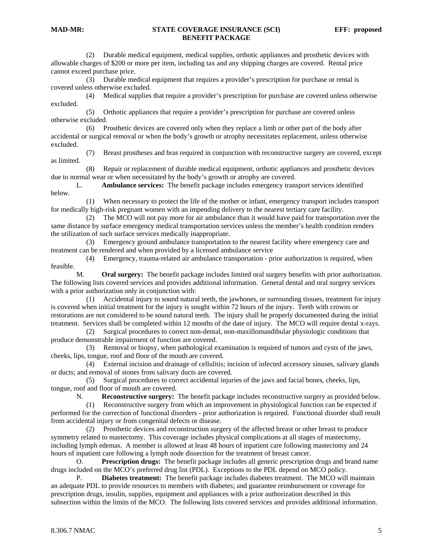(2) Durable medical equipment, medical supplies, orthotic appliances and prosthetic devices with allowable charges of \$200 or more per item, including tax and any shipping charges are covered. Rental price cannot exceed purchase price.

 (3) Durable medical equipment that requires a provider's prescription for purchase or rental is covered unless otherwise excluded.

 (4) Medical supplies that require a provider's prescription for purchase are covered unless otherwise excluded.

 (5) Orthotic appliances that require a provider's prescription for purchase are covered unless otherwise excluded.

 (6) Prosthetic devices are covered only when they replace a limb or other part of the body after accidental or surgical removal or when the body's growth or atrophy necessitates replacement, unless otherwise excluded.

 (7) Breast prostheses and bras required in conjunction with reconstructive surgery are covered, except as limited.

 (8) Repair or replacement of durable medical equipment, orthotic appliances and prosthetic devices due to normal wear or when necessitated by the body's growth or atrophy are covered.

 L. **Ambulance services:** The benefit package includes emergency transport services identified below.

 (1) When necessary to protect the life of the mother or infant, emergency transport includes transport for medically high-risk pregnant women with an impending delivery to the nearest tertiary care facility.

 (2) The MCO will not pay more for air ambulance than it would have paid for transportation over the same distance by surface emergency medical transportation services unless the member's health condition renders the utilization of such surface services medically inappropriate.

 (3) Emergency ground ambulance transportation to the nearest facility where emergency care and treatment can be rendered and when provided by a licensed ambulance service

 (4) Emergency, trauma-related air ambulance transportation - prior authorization is required, when feasible.

 M. **Oral surgery:** The benefit package includes limited oral surgery benefits with prior authorization. The following lists covered services and provides additional information. General dental and oral surgery services with a prior authorization only in conjunction with:

 (1) Accidental injury to sound natural teeth, the jawbones, or surrounding tissues, treatment for injury is covered when initial treatment for the injury is sought within 72 hours of the injury. Teeth with crowns or restorations are not considered to be sound natural teeth. The injury shall be properly documented during the initial treatment. Services shall be completed within 12 months of the date of injury. The MCO will require dental x-rays.

 (2) Surgical procedures to correct non-dental, non-maxillomandibular physiologic conditions that produce demonstrable impairment of function are covered.

 (3) Removal or biopsy, when pathological examination is required of tumors and cysts of the jaws, cheeks, lips, tongue, roof and floor of the mouth are covered.

 (4) External incision and drainage of cellulitis; incision of infected accessory sinuses, salivary glands or ducts; and removal of stones from salivary ducts are covered.

 (5) Surgical procedures to correct accidental injuries of the jaws and facial bones, cheeks, lips, tongue, roof and floor of mouth are covered.

N. **Reconstructive surgery:** The benefit package includes reconstructive surgery as provided below.

 (1) Reconstructive surgery from which an improvement in physiological function can be expected if performed for the correction of functional disorders - prior authorization is required. Functional disorder shall result from accidental injury or from congenital defects or disease.

 (2) Prosthetic devices and reconstruction surgery of the affected breast or other breast to produce symmetry related to mastectomy. This coverage includes physical complications at all stages of mastectomy, including lymph edemas. A member is allowed at least 48 hours of inpatient care following mastectomy and 24 hours of inpatient care following a lymph node dissection for the treatment of breast cancer.

 O. **Prescription drugs:** The benefit package includes all generic prescription drugs and brand name drugs included on the MCO's preferred drug list (PDL). Exceptions to the PDL depend on MCO policy.

P. **Diabetes treatment:** The benefit package includes diabetes treatment. The MCO will maintain an adequate PDL to provide resources to members with diabetes; and guarantee reimbursement or coverage for prescription drugs, insulin, supplies, equipment and appliances with a prior authorization described in this subsection within the limits of the MCO. The following lists covered services and provides additional information.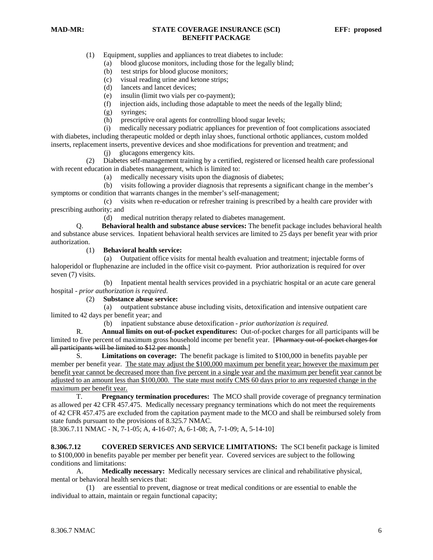(1) Equipment, supplies and appliances to treat diabetes to include:

- (a) blood glucose monitors, including those for the legally blind;
- (b) test strips for blood glucose monitors;
- (c) visual reading urine and ketone strips;
- (d) lancets and lancet devices;
- (e) insulin (limit two vials per co-payment);
- (f) injection aids, including those adaptable to meet the needs of the legally blind;
- (g) syringes;
- (h) prescriptive oral agents for controlling blood sugar levels;

 (i) medically necessary podiatric appliances for prevention of foot complications associated with diabetes, including therapeutic molded or depth inlay shoes, functional orthotic appliances, custom molded inserts, replacement inserts, preventive devices and shoe modifications for prevention and treatment; and

(j) glucagons emergency kits.

 (2) Diabetes self-management training by a certified, registered or licensed health care professional with recent education in diabetes management, which is limited to:

(a) medically necessary visits upon the diagnosis of diabetes;

 (b) visits following a provider diagnosis that represents a significant change in the member's symptoms or condition that warrants changes in the member's self-management;

 (c) visits when re-education or refresher training is prescribed by a health care provider with prescribing authority; and

(d) medical nutrition therapy related to diabetes management.

 Q. **Behavioral health and substance abuse services:** The benefit package includes behavioral health and substance abuse services. Inpatient behavioral health services are limited to 25 days per benefit year with prior authorization.

(1) **Behavioral health service:**

 (a) Outpatient office visits for mental health evaluation and treatment; injectable forms of haloperidol or fluphenazine are included in the office visit co-payment. Prior authorization is required for over seven (7) visits.

 (b) Inpatient mental health services provided in a psychiatric hospital or an acute care general hospital - *prior authorization is required*.

(2) **Substance abuse service:**

 (a) outpatient substance abuse including visits, detoxification and intensive outpatient care limited to 42 days per benefit year; and

(b) inpatient substance abuse detoxification - *prior authorization is required.*

 R. **Annual limits on out-of-pocket expenditures:** Out-of-pocket charges for all participants will be limited to five percent of maximum gross household income per benefit year. [Pharmacy out-of-pocket charges for all participants will be limited to \$12 per month.]

 S. **Limitations on coverage:** The benefit package is limited to \$100,000 in benefits payable per member per benefit year. The state may adjust the \$100,000 maximum per benefit year; however the maximum per benefit year cannot be decreased more than five percent in a single year and the maximum per benefit year cannot be adjusted to an amount less than \$100,000. The state must notify CMS 60 days prior to any requested change in the maximum per benefit year.

 T. **Pregnancy termination procedures:** The MCO shall provide coverage of pregnancy termination as allowed per 42 CFR 457.475. Medically necessary pregnancy terminations which do not meet the requirements of 42 CFR 457.475 are excluded from the capitation payment made to the MCO and shall be reimbursed solely from state funds pursuant to the provisions of 8.325.7 NMAC.

[8.306.7.11 NMAC - N, 7-1-05; A, 4-16-07; A, 6-1-08; A, 7-1-09; A, 5-14-10]

**8.306.7.12 COVERED SERVICES AND SERVICE LIMITATIONS:** The SCI benefit package is limited to \$100,000 in benefits payable per member per benefit year. Covered services are subject to the following conditions and limitations:

 A. **Medically necessary:** Medically necessary services are clinical and rehabilitative physical, mental or behavioral health services that:

 (1) are essential to prevent, diagnose or treat medical conditions or are essential to enable the individual to attain, maintain or regain functional capacity;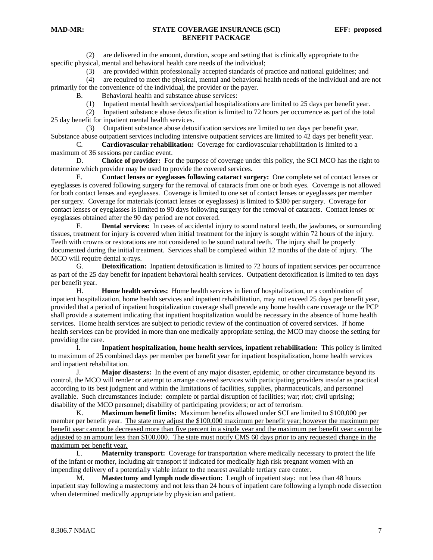(2) are delivered in the amount, duration, scope and setting that is clinically appropriate to the specific physical, mental and behavioral health care needs of the individual;

(3) are provided within professionally accepted standards of practice and national guidelines; and

 (4) are required to meet the physical, mental and behavioral health needs of the individual and are not primarily for the convenience of the individual, the provider or the payer.

B. Behavioral health and substance abuse services:

(1) Inpatient mental health services/partial hospitalizations are limited to 25 days per benefit year.

 (2) Inpatient substance abuse detoxification is limited to 72 hours per occurrence as part of the total 25 day benefit for inpatient mental health services.

 (3) Outpatient substance abuse detoxification services are limited to ten days per benefit year. Substance abuse outpatient services including intensive outpatient services are limited to 42 days per benefit year.

 C. **Cardiovascular rehabilitation:** Coverage for cardiovascular rehabilitation is limited to a maximum of 36 sessions per cardiac event.

 D. **Choice of provider:** For the purpose of coverage under this policy, the SCI MCO has the right to determine which provider may be used to provide the covered services.

 E. **Contact lenses or eyeglasses following cataract surgery:** One complete set of contact lenses or eyeglasses is covered following surgery for the removal of cataracts from one or both eyes. Coverage is not allowed for both contact lenses and eyeglasses. Coverage is limited to one set of contact lenses or eyeglasses per member per surgery. Coverage for materials (contact lenses or eyeglasses) is limited to \$300 per surgery. Coverage for contact lenses or eyeglasses is limited to 90 days following surgery for the removal of cataracts. Contact lenses or eyeglasses obtained after the 90 day period are not covered.

 F. **Dental services:** In cases of accidental injury to sound natural teeth, the jawbones, or surrounding tissues, treatment for injury is covered when initial treatment for the injury is sought within 72 hours of the injury. Teeth with crowns or restorations are not considered to be sound natural teeth. The injury shall be properly documented during the initial treatment. Services shall be completed within 12 months of the date of injury. The MCO will require dental x-rays.

G. **Detoxification:** Inpatient detoxification is limited to 72 hours of inpatient services per occurrence as part of the 25 day benefit for inpatient behavioral health services. Outpatient detoxification is limited to ten days per benefit year.

 H. **Home health services:** Home health services in lieu of hospitalization, or a combination of inpatient hospitalization, home health services and inpatient rehabilitation, may not exceed 25 days per benefit year, provided that a period of inpatient hospitalization coverage shall precede any home health care coverage or the PCP shall provide a statement indicating that inpatient hospitalization would be necessary in the absence of home health services. Home health services are subject to periodic review of the continuation of covered services. If home health services can be provided in more than one medically appropriate setting, the MCO may choose the setting for providing the care.

 I. **Inpatient hospitalization, home health services, inpatient rehabilitation:** This policy is limited to maximum of 25 combined days per member per benefit year for inpatient hospitalization, home health services and inpatient rehabilitation.

 J. **Major disasters:** In the event of any major disaster, epidemic, or other circumstance beyond its control, the MCO will render or attempt to arrange covered services with participating providers insofar as practical according to its best judgment and within the limitations of facilities, supplies, pharmaceuticals, and personnel available. Such circumstances include: complete or partial disruption of facilities; war; riot; civil uprising; disability of the MCO personnel; disability of participating providers; or act of terrorism.

 K. **Maximum benefit limits:** Maximum benefits allowed under SCI are limited to \$100,000 per member per benefit year. The state may adjust the \$100,000 maximum per benefit year; however the maximum per benefit year cannot be decreased more than five percent in a single year and the maximum per benefit year cannot be adjusted to an amount less than \$100,000. The state must notify CMS 60 days prior to any requested change in the maximum per benefit year.

 L. **Maternity transport:** Coverage for transportation where medically necessary to protect the life of the infant or mother, including air transport if indicated for medically high risk pregnant women with an impending delivery of a potentially viable infant to the nearest available tertiary care center.

 M. **Mastectomy and lymph node dissection:** Length of inpatient stay: not less than 48 hours inpatient stay following a mastectomy and not less than 24 hours of inpatient care following a lymph node dissection when determined medically appropriate by physician and patient.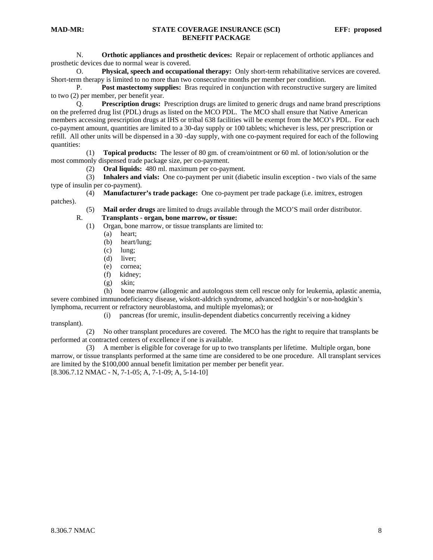N. **Orthotic appliances and prosthetic devices:** Repair or replacement of orthotic appliances and prosthetic devices due to normal wear is covered.

 O. **Physical, speech and occupational therapy:** Only short-term rehabilitative services are covered. Short-term therapy is limited to no more than two consecutive months per member per condition.

 P. **Post mastectomy supplies:** Bras required in conjunction with reconstructive surgery are limited to two (2) per member, per benefit year.

 Q. **Prescription drugs:** Prescription drugs are limited to generic drugs and name brand prescriptions on the preferred drug list (PDL) drugs as listed on the MCO PDL. The MCO shall ensure that Native American members accessing prescription drugs at IHS or tribal 638 facilities will be exempt from the MCO's PDL. For each co-payment amount, quantities are limited to a 30-day supply or 100 tablets; whichever is less, per prescription or refill. All other units will be dispensed in a 30 -day supply, with one co-payment required for each of the following quantities:

 (1) **Topical products:** The lesser of 80 gm. of cream/ointment or 60 ml. of lotion/solution or the most commonly dispensed trade package size, per co-payment.

(2) **Oral liquids:** 480 ml. maximum per co-payment.

 (3) **Inhalers and vials:** One co-payment per unit (diabetic insulin exception - two vials of the same type of insulin per co-payment).

 (4) **Manufacturer's trade package:** One co-payment per trade package (i.e. imitrex, estrogen patches).

(5) **Mail order drugs** are limited to drugs available through the MCO'S mail order distributor.

## R. **Transplants - organ, bone marrow, or tissue:**

(1) Organ, bone marrow, or tissue transplants are limited to:

- (a) heart;
- (b) heart/lung;
- (c) lung;
- (d) liver;
- (e) cornea;
- (f) kidney;
- (g) skin;

 (h) bone marrow (allogenic and autologous stem cell rescue only for leukemia, aplastic anemia, severe combined immunodeficiency disease, wiskott-aldrich syndrome, advanced hodgkin's or non-hodgkin's lymphoma, recurrent or refractory neuroblastoma, and multiple myelomas); or

(i) pancreas (for uremic, insulin-dependent diabetics concurrently receiving a kidney

transplant).

 (2) No other transplant procedures are covered. The MCO has the right to require that transplants be performed at contracted centers of excellence if one is available.

 (3) A member is eligible for coverage for up to two transplants per lifetime. Multiple organ, bone marrow, or tissue transplants performed at the same time are considered to be one procedure. All transplant services are limited by the \$100,000 annual benefit limitation per member per benefit year. [8.306.7.12 NMAC - N, 7-1-05; A, 7-1-09; A, 5-14-10]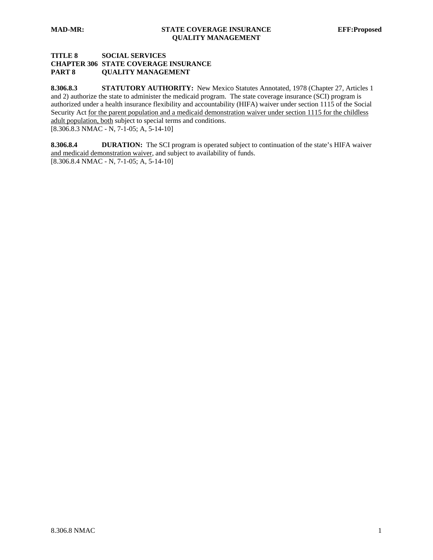# **TITLE 8 SOCIAL SERVICES CHAPTER 306 STATE COVERAGE INSURANCE PART 8 QUALITY MANAGEMENT**

8.306.8.3 **STATUTORY AUTHORITY:** New Mexico Statutes Annotated, 1978 (Chapter 27, Articles 1 and 2) authorize the state to administer the medicaid program. The state coverage insurance (SCI) program is authorized under a health insurance flexibility and accountability (HIFA) waiver under section 1115 of the Social Security Act for the parent population and a medicaid demonstration waiver under section 1115 for the childless adult population, both subject to special terms and conditions. [8.306.8.3 NMAC - N, 7-1-05; A, 5-14-10]

**8.306.8.4 DURATION:** The SCI program is operated subject to continuation of the state's HIFA waiver and medicaid demonstration waiver, and subject to availability of funds. [8.306.8.4 NMAC - N, 7-1-05; A, 5-14-10]